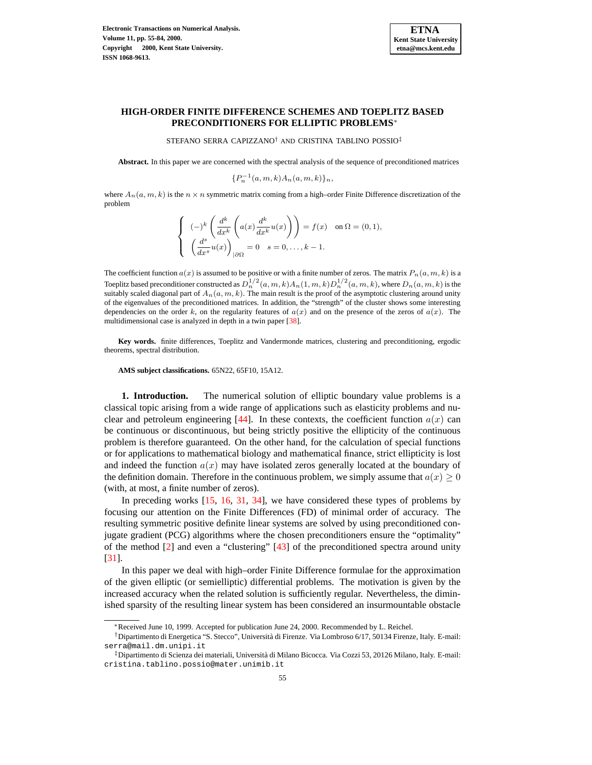

# **HIGH-ORDER FINITE DIFFERENCE SCHEMES AND TOEPLITZ BASED PRECONDITIONERS FOR ELLIPTIC PROBLEMS**<sup>∗</sup>

STEFANO SERRA CAPIZZANO† AND CRISTINA TABLINO POSSIO‡

**Abstract.** In this paper we are concerned with the spectral analysis of the sequence of preconditioned matrices

 ${P_n^{-1}(a, m, k)A_n(a, m, k)}_n$ 

where  $A_n(a, m, k)$  is the  $n \times n$  symmetric matrix coming from a high–order Finite Difference discretization of the problem

$$
\begin{cases}\n(-)^k \left( \frac{d^k}{dx^k} \left( a(x) \frac{d^k}{dx^k} u(x) \right) \right) = f(x) & \text{on } \Omega = (0, 1), \\
\left( \frac{d^s}{dx^s} u(x) \right)_{|\partial \Omega} = 0 & s = 0, \dots, k - 1.\n\end{cases}
$$

The coefficient function  $a(x)$  is assumed to be positive or with a finite number of zeros. The matrix  $P_n(a, m, k)$  is a Toeplitz based preconditioner constructed as  $D_n^{1/2}(a,m,k)A_n(1,m,k)D_n^{1/2}(a,m,k)$ , where  $D_n(a,m,k)$  is the suitably scaled diagonal part of  $A_n(a, m, k)$ . The main result is the proof of the asymptotic clustering around unity of the eigenvalues of the preconditioned matrices. In addition, the "strength" of the cluster shows some interesting dependencies on the order k, on the regularity features of  $a(x)$  and on the presence of the zeros of  $a(x)$ . The multidimensional case is analyzed in depth in a twin paper [\[38\]](#page-29-0).

**Key words.** finite differences, Toeplitz and Vandermonde matrices, clustering and preconditioning, ergodic theorems, spectral distribution.

**AMS subject classifications.** 65N22, 65F10, 15A12.

**1. Introduction.** The numerical solution of elliptic boundary value problems is a classical topic arising from a wide range of applications such as elasticity problems and nu-clear and petroleum engineering [\[44\]](#page-29-1). In these contexts, the coefficient function  $a(x)$  can be continuous or discontinuous, but being strictly positive the ellipticity of the continuous problem is therefore guaranteed. On the other hand, for the calculation of special functions or for applications to mathematical biology and mathematical finance, strict ellipticity is lost and indeed the function  $a(x)$  may have isolated zeros generally located at the boundary of the definition domain. Therefore in the continuous problem, we simply assume that  $a(x) \geq 0$ (with, at most, a finite number of zeros).

In preceding works [\[15,](#page-29-2) [16,](#page-29-3) [31,](#page-29-4) [34\]](#page-29-5), we have considered these types of problems by focusing our attention on the Finite Differences (FD) of minimal order of accuracy. The resulting symmetric positive definite linear systems are solved by using preconditioned conjugate gradient (PCG) algorithms where the chosen preconditioners ensure the "optimality" of the method [\[2\]](#page-28-0) and even a "clustering" [\[43\]](#page-29-6) of the preconditioned spectra around unity [\[31\]](#page-29-4).

In this paper we deal with high–order Finite Difference formulae for the approximation of the given elliptic (or semielliptic) differential problems. The motivation is given by the increased accuracy when the related solution is sufficiently regular. Nevertheless, the diminished sparsity of the resulting linear system has been considered an insurmountable obstacle

<sup>∗</sup>Received June 10, 1999. Accepted for publication June 24, 2000. Recommended by L. Reichel.

<sup>†</sup>Dipartimento di Energetica "S. Stecco", Universita` di Firenze. Via Lombroso 6/17, 50134 Firenze, Italy. E-mail: serra@mail.dm.unipi.it

<sup>‡</sup>Dipartimento di Scienza dei materiali, Universita` di Milano Bicocca. Via Cozzi 53, 20126 Milano, Italy. E-mail: cristina.tablino.possio@mater.unimib.it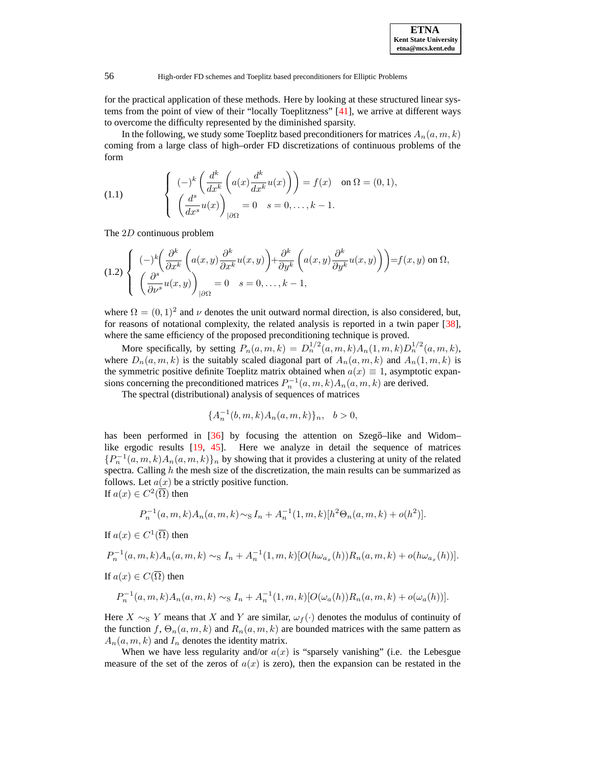for the practical application of these methods. Here by looking at these structured linear systems from the point of view of their "locally Toeplitzness" [\[41\]](#page-29-7), we arrive at different ways to overcome the difficulty represented by the diminished sparsity.

In the following, we study some Toeplitz based preconditioners for matrices  $A_n(a, m, k)$ coming from a large class of high–order FD discretizations of continuous problems of the form

<span id="page-1-0"></span>(1.1) 
$$
\begin{cases} (-)^k \left( \frac{d^k}{dx^k} \left( a(x) \frac{d^k}{dx^k} u(x) \right) \right) = f(x) & \text{on } \Omega = (0,1), \\ \left( \frac{d^s}{dx^s} u(x) \right)_{|\partial \Omega} = 0 & s = 0, \dots, k-1. \end{cases}
$$

The 2D continuous problem

<span id="page-1-1"></span>
$$
(1.2)\begin{cases}\n(-)^k \left(\frac{\partial^k}{\partial x^k} \left(a(x,y)\frac{\partial^k}{\partial x^k}u(x,y)\right) + \frac{\partial^k}{\partial y^k} \left(a(x,y)\frac{\partial^k}{\partial y^k}u(x,y)\right)\right) = f(x,y) \text{ on } \Omega, \\
\left(\frac{\partial^s}{\partial \nu^s}u(x,y)\right)_{|\partial\Omega} = 0 \quad s = 0,\ldots, k-1,\n\end{cases}
$$

where  $\Omega = (0, 1)^2$  and  $\nu$  denotes the unit outward normal direction, is also considered, but, for reasons of notational complexity, the related analysis is reported in a twin paper [\[38\]](#page-29-0), where the same efficiency of the proposed preconditioning technique is proved.

More specifically, by setting  $P_n(a, m, k) = D_n^{1/2}(a, m, k) A_n(1, m, k) D_n^{1/2}(a, m, k)$ , where  $D_n(a, m, k)$  is the suitably scaled diagonal part of  $A_n(a, m, k)$  and  $A_n(1, m, k)$  is the symmetric positive definite Toeplitz matrix obtained when  $a(x) \equiv 1$ , asymptotic expansions concerning the preconditioned matrices  $P_n^{-1}(a, m, k)A_n(a, m, k)$  are derived.

The spectral (distributional) analysis of sequences of matrices

$$
\{A_n^{-1}(b, m, k)A_n(a, m, k)\}_n, \quad b > 0,
$$

has been performed in  $[36]$  by focusing the attention on Szegő–like and Widom– like ergodic results [\[19,](#page-29-9) [45\]](#page-29-10). Here we analyze in detail the sequence of matrices  ${P_n^{-1}(a, m, k)A_n(a, m, k)}_n$  by showing that it provides a clustering at unity of the related spectra. Calling  $h$  the mesh size of the discretization, the main results can be summarized as follows. Let  $a(x)$  be a strictly positive function. If  $a(x) \in C^2(\overline{\Omega})$  then

$$
P_n^{-1}(a, m, k)A_n(a, m, k) \sim_{\mathcal{S}} I_n + A_n^{-1}(1, m, k)[h^2 \Theta_n(a, m, k) + o(h^2)].
$$

If  $a(x) \in C^1(\overline{\Omega})$  then

$$
P_n^{-1}(a,m,k)A_n(a,m,k) \sim_{\mathcal{S}} I_n + A_n^{-1}(1,m,k)[O(h\omega_{a_x}(h))R_n(a,m,k) + o(h\omega_{a_x}(h))].
$$

If  $a(x) \in C(\overline{\Omega})$  then

$$
P_n^{-1}(a,m,k)A_n(a,m,k) \sim_{\mathcal{S}} I_n + A_n^{-1}(1,m,k)[O(\omega_a(h))R_n(a,m,k) + o(\omega_a(h))].
$$

Here X  $\sim_S Y$  means that X and Y are similar,  $\omega_f(\cdot)$  denotes the modulus of continuity of the function  $f, \Theta_n(a, m, k)$  and  $R_n(a, m, k)$  are bounded matrices with the same pattern as  $A_n(a, m, k)$  and  $I_n$  denotes the identity matrix.

When we have less regularity and/or  $a(x)$  is "sparsely vanishing" (i.e. the Lebesgue measure of the set of the zeros of  $a(x)$  is zero), then the expansion can be restated in the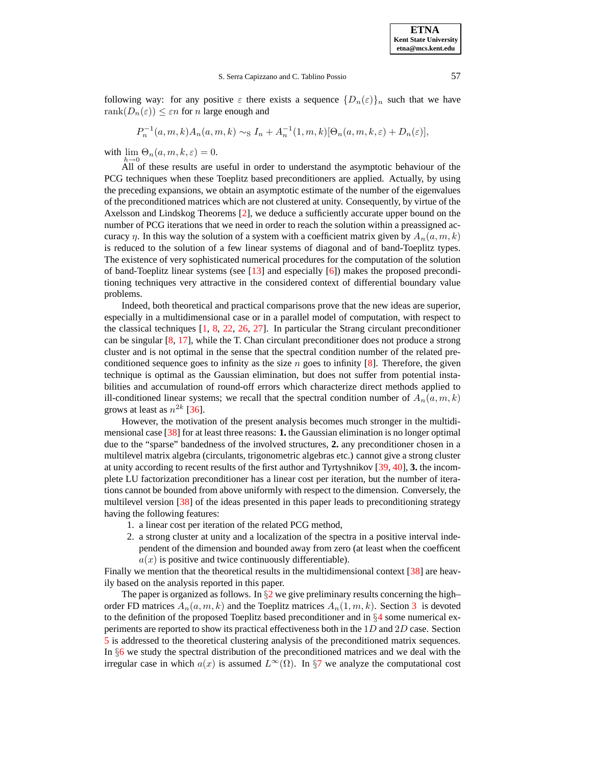following way: for any positive  $\varepsilon$  there exists a sequence  $\{D_n(\varepsilon)\}_n$  such that we have rank $(D_n(\varepsilon)) \leq \varepsilon n$  for n large enough and

$$
P_n^{-1}(a, m, k)A_n(a, m, k) \sim_{\mathcal{S}} I_n + A_n^{-1}(1, m, k)[\Theta_n(a, m, k, \varepsilon) + D_n(\varepsilon)],
$$

with  $\lim_{h\to 0} \Theta_n(a, m, k, \varepsilon) = 0.$ 

All of these results are useful in order to understand the asymptotic behaviour of the PCG techniques when these Toeplitz based preconditioners are applied. Actually, by using the preceding expansions, we obtain an asymptotic estimate of the number of the eigenvalues of the preconditioned matrices which are not clustered at unity. Consequently, by virtue of the Axelsson and Lindskog Theorems [\[2\]](#page-28-0), we deduce a sufficiently accurate upper bound on the number of PCG iterations that we need in order to reach the solution within a preassigned accuracy  $\eta$ . In this way the solution of a system with a coefficient matrix given by  $A_n(a, m, k)$ is reduced to the solution of a few linear systems of diagonal and of band-Toeplitz types. The existence of very sophisticated numerical procedures for the computation of the solution of band-Toeplitz linear systems (see [\[13\]](#page-29-11) and especially [\[6\]](#page-28-1)) makes the proposed preconditioning techniques very attractive in the considered context of differential boundary value problems.

Indeed, both theoretical and practical comparisons prove that the new ideas are superior, especially in a multidimensional case or in a parallel model of computation, with respect to the classical techniques  $[1, 8, 22, 26, 27]$  $[1, 8, 22, 26, 27]$  $[1, 8, 22, 26, 27]$  $[1, 8, 22, 26, 27]$  $[1, 8, 22, 26, 27]$  $[1, 8, 22, 26, 27]$  $[1, 8, 22, 26, 27]$  $[1, 8, 22, 26, 27]$  $[1, 8, 22, 26, 27]$ . In particular the Strang circulant preconditioner can be singular  $[8, 17]$  $[8, 17]$  $[8, 17]$ , while the T. Chan circulant preconditioner does not produce a strong cluster and is not optimal in the sense that the spectral condition number of the related pre-conditioned sequence goes to infinity as the size n goes to infinity [\[8\]](#page-28-3). Therefore, the given technique is optimal as the Gaussian elimination, but does not suffer from potential instabilities and accumulation of round-off errors which characterize direct methods applied to ill-conditioned linear systems; we recall that the spectral condition number of  $A_n(a, m, k)$ grows at least as  $n^{2k}$  [\[36\]](#page-29-8).

However, the motivation of the present analysis becomes much stronger in the multidimensional case [\[38\]](#page-29-0) for at least three reasons: **1.** the Gaussian elimination is no longer optimal due to the "sparse" bandedness of the involved structures, **2.** any preconditioner chosen in a multilevel matrix algebra (circulants, trigonometric algebras etc.) cannot give a strong cluster at unity according to recent results of the first author and Tyrtyshnikov [\[39,](#page-29-16) [40\]](#page-29-17), **3.** the incomplete LU factorization preconditioner has a linear cost per iteration, but the number of iterations cannot be bounded from above uniformly with respect to the dimension. Conversely, the multilevel version [\[38\]](#page-29-0) of the ideas presented in this paper leads to preconditioning strategy having the following features:

- 1. a linear cost per iteration of the related PCG method,
- 2. a strong cluster at unity and a localization of the spectra in a positive interval independent of the dimension and bounded away from zero (at least when the coefficent  $a(x)$  is positive and twice continuously differentiable).

Finally we mention that the theoretical results in the multidimensional context [\[38\]](#page-29-0) are heavily based on the analysis reported in this paper.

The paper is organized as follows. In  $\S2$  $\S2$  we give preliminary results concerning the high– order FD matrices  $A_n(a, m, k)$  and the Toeplitz matrices  $A_n(1, m, k)$ . Section [3](#page-5-0) is devoted to the definition of the proposed Toeplitz based preconditioner and in  $\S 4$  $\S 4$  some numerical experiments are reported to show its practical effectiveness both in the  $1D$  and  $2D$  case. Section [5](#page-15-0) is addressed to the theoretical clustering analysis of the preconditioned matrix sequences. In §[6](#page-20-0) we study the spectral distribution of the preconditioned matrices and we deal with the irregular case in which  $a(x)$  is assumed  $L^{\infty}(\Omega)$ . In §[7](#page-22-0) we analyze the computational cost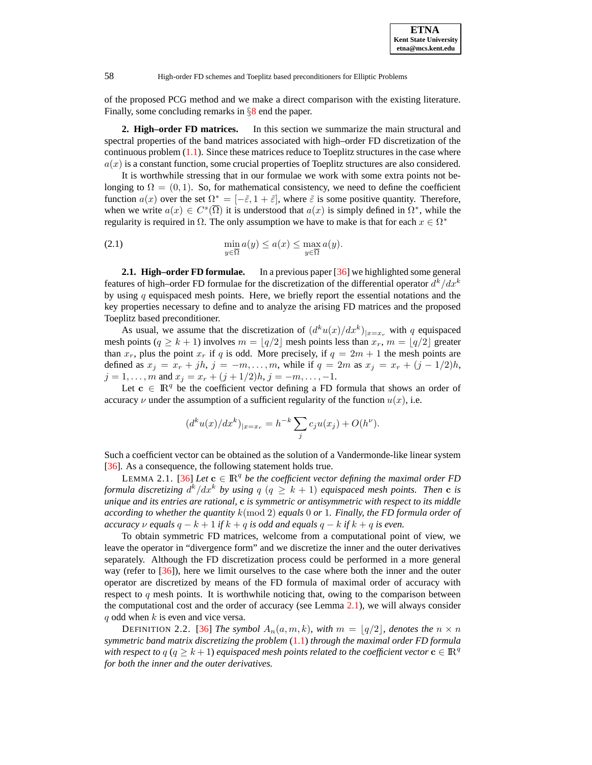of the proposed PCG method and we make a direct comparison with the existing literature. Finally, some concluding remarks in  $\S 8$  $\S 8$  end the paper.

<span id="page-3-0"></span>**2. High–order FD matrices.** In this section we summarize the main structural and spectral properties of the band matrices associated with high–order FD discretization of the continuous problem  $(1.1)$ . Since these matrices reduce to Toeplitz structures in the case where  $a(x)$  is a constant function, some crucial properties of Toeplitz structures are also considered.

It is worthwhile stressing that in our formulae we work with some extra points not belonging to  $\Omega = (0, 1)$ . So, for mathematical consistency, we need to define the coefficient function  $a(x)$  over the set  $\Omega^* = [-\tilde{\varepsilon}, 1 + \tilde{\varepsilon}]$ , where  $\tilde{\varepsilon}$  is some positive quantity. Therefore, when we write  $a(x) \in C^{s}(\overline{\Omega})$  it is understood that  $a(x)$  is simply defined in  $\Omega^*$ , while the regularity is required in  $\Omega$ . The only assumption we have to make is that for each  $x \in \Omega^*$ 

<span id="page-3-3"></span>(2.1) 
$$
\min_{y \in \overline{\Omega}} a(y) \le a(x) \le \max_{y \in \overline{\Omega}} a(y).
$$

**2.1. High–order FD formulae.** In a previous paper [\[36\]](#page-29-8) we highlighted some general features of high–order FD formulae for the discretization of the differential operator  $d^k/dx^k$ by using  $q$  equispaced mesh points. Here, we briefly report the essential notations and the key properties necessary to define and to analyze the arising FD matrices and the proposed Toeplitz based preconditioner.

As usual, we assume that the discretization of  $(d^k u(x)/dx^k)_{|x=x_r}$  with q equispaced mesh points ( $q \ge k+1$ ) involves  $m = \lfloor q/2 \rfloor$  mesh points less than  $x_r$ ,  $m = \lfloor q/2 \rfloor$  greater than  $x_r$ , plus the point  $x_r$  if q is odd. More precisely, if  $q = 2m + 1$  the mesh points are defined as  $x_j = x_r + jh$ ,  $j = -m, \ldots, m$ , while if  $q = 2m$  as  $x_j = x_r + (j - 1/2)h$ ,  $j = 1, \ldots, m$  and  $x_j = x_r + (j + 1/2)h, j = -m, \ldots, -1.$ 

Let  $c \in \mathbb{R}^q$  be the coefficient vector defining a FD formula that shows an order of accuracy  $\nu$  under the assumption of a sufficient regularity of the function  $u(x)$ , i.e.

<span id="page-3-1"></span>
$$
(d^{k}u(x)/dx^{k})_{|x=x_{r}} = h^{-k} \sum_{j} c_{j}u(x_{j}) + O(h^{\nu}).
$$

Such a coefficient vector can be obtained as the solution of a Vandermonde-like linear system [\[36\]](#page-29-8). As a consequence, the following statement holds true.

LEMMA 2.1. [\[36\]](#page-29-8) Let  $c \in \mathbb{R}^q$  be the coefficient vector defining the maximal order FD *formula* discretizing  $d^k/dx^k$  by using  $q$   $(q \geq k+1)$  equispaced mesh points. Then  $\bf c$  is *unique and its entries are rational,* c *is symmetric or antisymmetric with respect to its middle according to* whether the quantity  $k \text{ (mod 2)}$  *equals* 0 *or* 1*. Finally, the FD formula order of accuracy*  $\nu$  *equals*  $q - k + 1$  *if*  $k + q$  *is odd and equals*  $q - k$  *if*  $k + q$  *is even.* 

To obtain symmetric FD matrices, welcome from a computational point of view, we leave the operator in "divergence form" and we discretize the inner and the outer derivatives separately. Although the FD discretization process could be performed in a more general way (refer to [\[36\]](#page-29-8)), here we limit ourselves to the case where both the inner and the outer operator are discretized by means of the FD formula of maximal order of accuracy with respect to  $q$  mesh points. It is worthwhile noticing that, owing to the comparison between the computational cost and the order of accuracy (see Lemma [2.1\)](#page-3-1), we will always consider  $q$  odd when  $k$  is even and vice versa.

<span id="page-3-2"></span>**DEFINITION** 2.2. [\[36\]](#page-29-8) *The symbol*  $A_n(a, m, k)$ *, with*  $m = |q/2|$ *, denotes the*  $n \times n$ *symmetric band matrix discretizing the problem* [\(1.1\)](#page-1-0) *through the maximal order FD formula with respect to*  $q$  *(* $q \geq k+1$ *) equispaced mesh points related to the coefficient vector*  $\mathbf{c} \in \mathbb{R}^q$ *for both the inner and the outer derivatives.*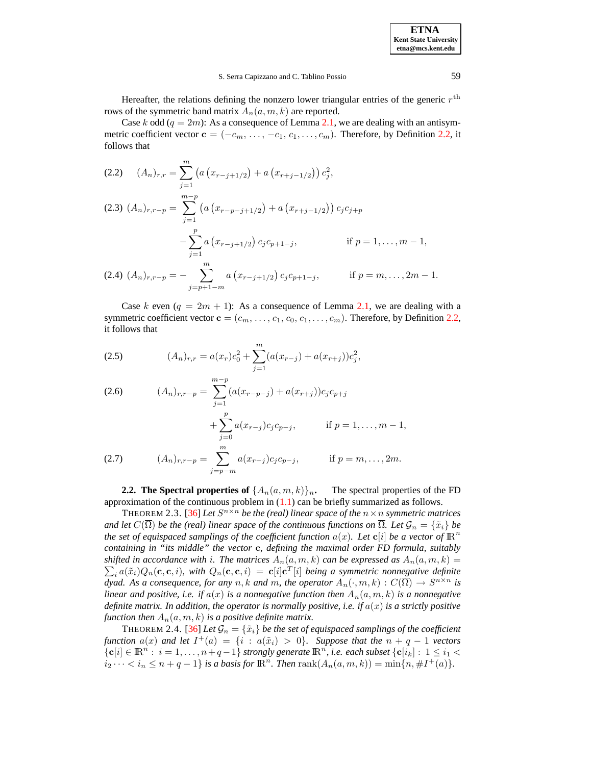Hereafter, the relations defining the nonzero lower triangular entries of the generic  $r<sup>th</sup>$ rows of the symmetric band matrix  $A_n(a, m, k)$  are reported.

Case k odd ( $q = 2m$ ): As a consequence of Lemma [2.1,](#page-3-1) we are dealing with an antisymmetric coefficient vector  $\mathbf{c} = (-c_m, \ldots, -c_1, c_1, \ldots, c_m)$ . Therefore, by Definition [2.2,](#page-3-2) it follows that

<span id="page-4-0"></span>
$$
(2.2) \quad (A_n)_{r,r} = \sum_{j=1}^m \left( a \left( x_{r-j+1/2} \right) + a \left( x_{r+j-1/2} \right) \right) c_j^2,
$$
\n
$$
(2.3) \quad (A_n)_{r,r-p} = \sum_{j=1}^{m-p} \left( a \left( x_{r-p-j+1/2} \right) + a \left( x_{r+j-1/2} \right) \right) c_j c_{j+p}
$$
\n
$$
- \sum_{j=1}^p a \left( x_{r-j+1/2} \right) c_j c_{p+1-j}, \qquad \text{if } p = 1, \dots, m-1,
$$
\n
$$
(2.4) \quad (A_n)_{r,r-p} = - \sum_{j=p+1-m}^m a \left( x_{r-j+1/2} \right) c_j c_{p+1-j}, \qquad \text{if } p = m, \dots, 2m-1.
$$

Case k even  $(q = 2m + 1)$ : As a consequence of Lemma [2.1,](#page-3-1) we are dealing with a symmetric coefficient vector  $\mathbf{c} = (c_m, \ldots, c_1, c_0, c_1, \ldots, c_m)$ . Therefore, by Definition [2.2,](#page-3-2) it follows that

<span id="page-4-1"></span>(2.5) 
$$
(A_n)_{r,r} = a(x_r)c_0^2 + \sum_{j=1}^m (a(x_{r-j}) + a(x_{r+j}))c_j^2,
$$

(2.6) 
$$
(A_n)_{r,r-p} = \sum_{j=1}^{m-p} (a(x_{r-p-j}) + a(x_{r+j}))c_jc_{p+j} + \sum_{j=0}^{p} a(x_{r-j})c_jc_{p-j}, \quad \text{if } p = 1, ..., m-1,
$$
  
(2.7) 
$$
(A_n)_{r,r-p} = \sum_{j=p-m}^{m} a(x_{r-j})c_jc_{p-j}, \quad \text{if } p = m, ..., 2m.
$$

<span id="page-4-2"></span>**2.2.** The Spectral properties of  $\{A_n(a, m, k)\}_n$ . The spectral properties of the FD approximation of the continuous problem in  $(1.1)$  can be briefly summarized as follows.

THEOREM 2.3. [\[36\]](#page-29-8) Let  $S^{n \times n}$  be the (real) linear space of the  $n \times n$  symmetric matrices *and let*  $C(\overline{\Omega})$  *be the (real) linear space of the continuous functions on*  $\overline{\Omega}$ *. Let*  $\mathcal{G}_n = \{\tilde{x}_i\}$  *be the set of equispaced samplings of the coefficient function*  $a(x)$ *<i>. Let*  $\mathbf{c}[i]$  *be a vector of*  $\mathbb{R}^n$ *containing in "its middle" the vector* c*, defining the maximal order FD formula, suitably shifted in accordance with i. The matrices*  $A_n(a, m, k)$  *can be expressed as*  $A_n(a, m, k)$  =  $\sum_i a(\tilde{x}_i) Q_n(\mathbf{c}, \mathbf{c}, i)$ , with  $Q_n(\mathbf{c}, \mathbf{c}, i) = \mathbf{c}[i] \mathbf{c}^T[i]$  being a symmetric nonnegative definite *dyad.* As a consequence, for any  $n, k$  and  $m$ , the operator  $A_n(\cdot, m, k) : C(\overline{\Omega}) \to S^{n \times n}$  is *linear* and positive, *i.e. if*  $a(x)$  *is a nonnegative function then*  $A_n(a, m, k)$  *is a nonnegative definite* matrix. In addition, the operator is normally positive, i.e. if  $a(x)$  is a strictly positive *function then*  $A_n(a, m, k)$  *is a positive definite matrix.* 

<span id="page-4-3"></span>THEOREM 2.4. [\[36\]](#page-29-8) Let  $\mathcal{G}_n = {\tilde{x}_i}$  *be the set of equispaced samplings of the coefficient function*  $a(x)$  *and let*  $I^+(a) = \{i : a(\tilde{x}_i) > 0\}$ *. Suppose that the*  $n + q - 1$  *vectors*  ${c}[i] \in \mathbb{R}^n : i = 1, \ldots, n+q-1$  *strongly generate*  $\mathbb{R}^n$ *, i.e. each subset*  ${c}[i_k] : 1 \leq i_1 < \cdots$  $i_2 \cdots < i_n \leq n+q-1$ } *is a basis for*  $\mathbb{R}^n$ *. Then*  $\text{rank}(A_n(a,m,k)) = \min\{n, \#I^+(a)\}.$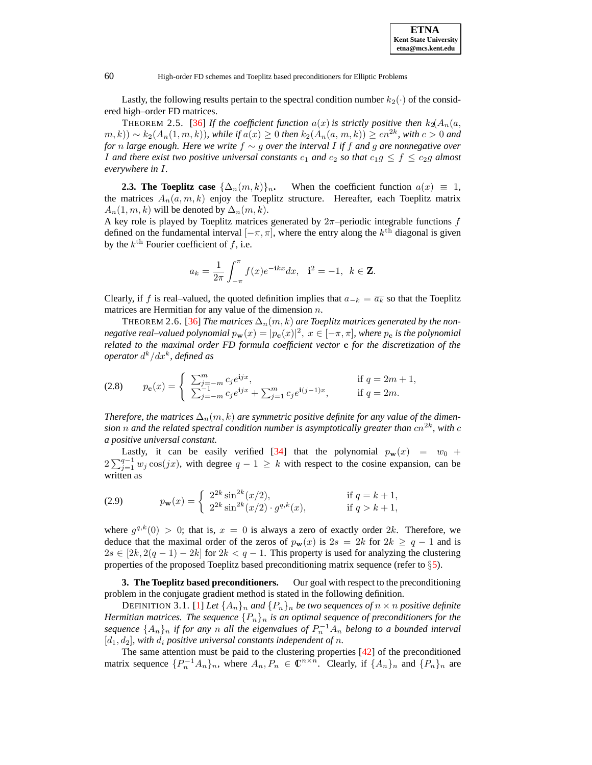Lastly, the following results pertain to the spectral condition number  $k_2(\cdot)$  of the considered high–order FD matrices.

THEOREM 2.5. [\[36\]](#page-29-8) If the coefficient function  $a(x)$  is strictly positive then  $k_2(A_n(a,$  $(m, k)) \sim k_2(A_n(1, m, k))$ , while if  $a(x) ≥ 0$  then  $k_2(A_n(a, m, k)) ≥ cn^{2k}$ , with  $c > 0$  and *for* n *large enough. Here we write* f ∼ g *over the interval* I *if* f *and* g *are nonnegative over* I and there exist two positive universal constants  $c_1$  and  $c_2$  so that  $c_1g \le f \le c_2g$  almost *everywhere in* I*.*

**2.3. The Toeplitz case**  $\{\Delta_n(m,k)\}_n$ . When the coefficient function  $a(x) \equiv 1$ , the matrices  $A_n(a, m, k)$  enjoy the Toeplitz structure. Hereafter, each Toeplitz matrix  $A_n(1, m, k)$  will be denoted by  $\Delta_n(m, k)$ .

A key role is played by Toeplitz matrices generated by  $2\pi$ -periodic integrable functions f defined on the fundamental interval  $[-\pi, \pi]$ , where the entry along the  $k^{\text{th}}$  diagonal is given by the  $k^{\text{th}}$  Fourier coefficient of f, i.e.

$$
a_k = \frac{1}{2\pi} \int_{-\pi}^{\pi} f(x)e^{-ikx} dx, \quad \mathbf{i}^2 = -1, \ k \in \mathbf{Z}.
$$

<span id="page-5-3"></span>Clearly, if f is real–valued, the quoted definition implies that  $a_{-k} = \overline{a_k}$  so that the Toeplitz matrices are Hermitian for any value of the dimension  $n$ .

THEOREM 2.6. [\[36\]](#page-29-8) *The matrices*  $\Delta_n(m, k)$  *are Toeplitz matrices generated by the nonnegative real–valued polynomial*  $p_{\bf w}(x) = |p_{\bf c}(x)|^2, \ x \in [-\pi,\pi]$ , where  $p_{\bf c}$  is the polynomial *related to the maximal order FD formula coefficient vector* c *for the discretization of the operator* d <sup>k</sup>/dx<sup>k</sup> *, defined as*

(2.8) 
$$
p_{\mathbf{c}}(x) = \begin{cases} \sum_{j=-m}^{m} c_j e^{ijx}, & \text{if } q = 2m+1, \\ \sum_{j=-m}^{-1} c_j e^{ijx} + \sum_{j=1}^{m} c_j e^{i(j-1)x}, & \text{if } q = 2m. \end{cases}
$$

*Therefore, the matrices*  $\Delta_n(m, k)$  *are symmetric positive definite for any value of the dimen* $s$ ion  $n$  and the related spectral condition  $n$ umber is asymptotically greater than  $cn^{2k}$ , with  $c$ *a positive universal constant.*

Lastly, it can be easily verified [\[34\]](#page-29-5) that the polynomial  $p_w(x) = w_0 +$  $2\sum_{j=1}^{q-1} w_j \cos(jx)$ , with degree  $q-1 \geq k$  with respect to the cosine expansion, can be written as

<span id="page-5-2"></span>(2.9) 
$$
p_{\mathbf{w}}(x) = \begin{cases} 2^{2k} \sin^{2k}(x/2), & \text{if } q = k+1, \\ 2^{2k} \sin^{2k}(x/2) \cdot g^{q,k}(x), & \text{if } q > k+1, \end{cases}
$$

where  $g^{q,k}(0) > 0$ ; that is,  $x = 0$  is always a zero of exactly order 2k. Therefore, we deduce that the maximal order of the zeros of  $p_w(x)$  is  $2s = 2k$  for  $2k \ge q - 1$  and is  $2s \in [2k, 2(q-1)-2k]$  for  $2k < q-1$ . This property is used for analyzing the clustering properties of the proposed Toeplitz based preconditioning matrix sequence (refer to §[5\)](#page-15-0).

<span id="page-5-1"></span><span id="page-5-0"></span>**3. The Toeplitz based preconditioners.** Our goal with respect to the preconditioning problem in the conjugate gradient method is stated in the following definition.

DEFINITION 3.1. [\[1\]](#page-28-2) Let  $\{A_n\}_n$  and  $\{P_n\}_n$  be two sequences of  $n \times n$  positive definite *Hermitian matrices. The sequence*  ${P_n}_n$  *is an optimal sequence of preconditioners for the sequence*  $\{A_n\}_n$  *if for any n all the eigenvalues of*  $P_n^{-1}A_n$  *belong to a bounded interval*  $[d_1, d_2]$ , with  $d_i$  positive universal constants independent of n.

The same attention must be paid to the clustering properties [\[42\]](#page-29-18) of the preconditioned matrix sequence  $\{P_n^{-1}A_n\}_n$ , where  $A_n, P_n \in \mathbb{C}^{n \times n}$ . Clearly, if  $\{A_n\}_n$  and  $\{P_n\}_n$  are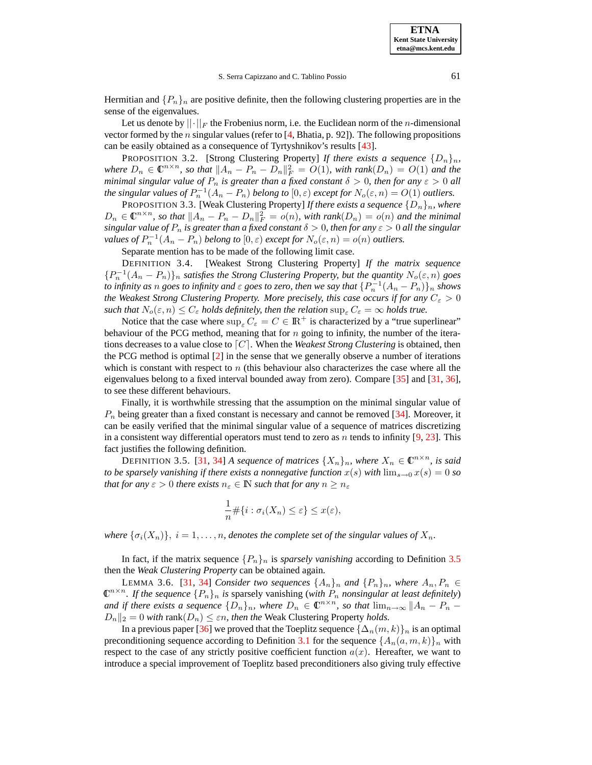Hermitian and  $\{P_n\}_n$  are positive definite, then the following clustering properties are in the sense of the eigenvalues.

Let us denote by  $||\cdot||_F$  the Frobenius norm, i.e. the Euclidean norm of the *n*-dimensional vector formed by the n singular values (refer to [\[4,](#page-28-4) Bhatia, p. 92]). The following propositions can be easily obtained as a consequence of Tyrtyshnikov's results [\[43\]](#page-29-6).

PROPOSITION 3.2. [Strong Clustering Property] If there exists a sequence  $\{D_n\}_n$ , *where*  $D_n \in \mathbb{C}^{n \times n}$ , so that  $||A_n - P_n - D_n||_F^2 = O(1)$ , with  $rank(D_n) = O(1)$  and the *minimal singular value of*  $P_n$  *is greater than a fixed constant*  $\delta > 0$ *, then for any*  $\varepsilon > 0$  *all the singular values of*  $P_n^{-1}(A_n - P_n)$  *belong to*  $[0, \varepsilon)$  *except for*  $N_o(\varepsilon, n) = O(1)$  *outliers.* 

PROPOSITION 3.3. [Weak Clustering Property] *If there exists a sequence*  $\{D_n\}_n$ *, where*  $D_n \in \mathbb{C}^{n \times n}$ , so that  $||A_n - P_n - D_n||_F^2 = o(n)$ , with rank $(D_n) = o(n)$  and the minimal *singular value of*  $P_n$  *is greater than a fixed constant*  $\delta > 0$ *, then for any*  $\varepsilon > 0$  *all the singular values of*  $P_n^{-1}(A_n - P_n)$  *belong to*  $[0, \varepsilon)$  *except for*  $N_o(\varepsilon, n) = o(n)$  *outliers.* 

Separate mention has to be made of the following limit case.

DEFINITION 3.4. [Weakest Strong Clustering Property] *If the matrix sequence*  ${P_n^{-1}(A_n - P_n)}_n$  *satisfies the Strong Clustering Property, but the quantity*  $N_o(\varepsilon, n)$  goes  $t$ *o infinity as n goes to infinity and*  $\varepsilon$  *goes to zero, then we say that*  $\{P_n^{-1}(A_n-P_n)\}_n$  *shows the* Weakest Strong Clustering Property. More precisely, this case occurs if for any  $C_{\varepsilon} > 0$ *such that*  $N_o(\varepsilon, n) \leq C_{\varepsilon}$  *holds definitely, then the relation*  $\sup_{\varepsilon} C_{\varepsilon} = \infty$  *holds true.* 

Notice that the case where  $\sup_{\varepsilon} C_{\varepsilon} = C \in \mathbb{R}^+$  is characterized by a "true superlinear" behaviour of the PCG method, meaning that for  $n$  going to infinity, the number of the iterations decreases to a value close to  $\lceil C \rceil$ . When the *Weakest Strong Clustering* is obtained, then the PCG method is optimal [\[2\]](#page-28-0) in the sense that we generally observe a number of iterations which is constant with respect to  $n$  (this behaviour also characterizes the case where all the eigenvalues belong to a fixed interval bounded away from zero). Compare [\[35\]](#page-29-19) and [\[31,](#page-29-4) [36\]](#page-29-8), to see these different behaviours.

Finally, it is worthwhile stressing that the assumption on the minimal singular value of  $P_n$  being greater than a fixed constant is necessary and cannot be removed [\[34\]](#page-29-5). Moreover, it can be easily verified that the minimal singular value of a sequence of matrices discretizing in a consistent way differential operators must tend to zero as n tends to infinity [\[9,](#page-28-5) [23\]](#page-29-20). This fact justifies the following definition.

DEFINITION 3.5. [\[31,](#page-29-4) [34\]](#page-29-5) *A* sequence of matrices  $\{X_n\}_n$ , where  $X_n \in \mathbb{C}^{n \times n}$ , is said *to be sparsely vanishing if there exists a nonnegative function*  $x(s)$  *with*  $\lim_{s\to 0} x(s) = 0$  *so that for any*  $\varepsilon > 0$  *there exists*  $n_{\varepsilon} \in \mathbb{N}$  *such that for any*  $n \geq n_{\varepsilon}$ 

<span id="page-6-1"></span><span id="page-6-0"></span>
$$
\frac{1}{n}\#\{i : \sigma_i(X_n) \le \varepsilon\} \le x(\varepsilon),
$$

*where*  $\{\sigma_i(X_n)\}, i = 1, \ldots, n$ , *denotes the complete set of the singular values of*  $X_n$ .

In fact, if the matrix sequence  $\{P_n\}_n$  is *sparsely vanishing* according to Definition [3.5](#page-6-0) then the *Weak Clustering Property* can be obtained again.

**LEMMA 3.6.** [\[31,](#page-29-4) [34\]](#page-29-5) *Consider two sequences*  $\{A_n\}_n$  *and*  $\{P_n\}_n$ *, where*  $A_n, P_n \in$  $\mathbb{C}^{n \times n}$ . If the sequence  $\{P_n\}_n$  is sparsely vanishing (with  $P_n$  nonsingular at least definitely) *and* if there exists a sequence  $\{D_n\}_n$ , where  $D_n \in \mathbb{C}^{n \times n}$ , so that  $\lim_{n \to \infty} ||A_n - P_n D_n||_2 = 0$  *with* rank $(D_n) \leq \varepsilon n$ , *then the* Weak Clustering Property *holds*.

In a previous paper [\[36\]](#page-29-8) we proved that the Toeplitz sequence  $\{\Delta_n(m, k)\}\$ <sub>n</sub> is an optimal preconditioning sequence according to Definition [3.1](#page-5-1) for the sequence  $\{A_n(a, m, k)\}_n$  with respect to the case of any strictly positive coefficient function  $a(x)$ . Hereafter, we want to introduce a special improvement of Toeplitz based preconditioners also giving truly effective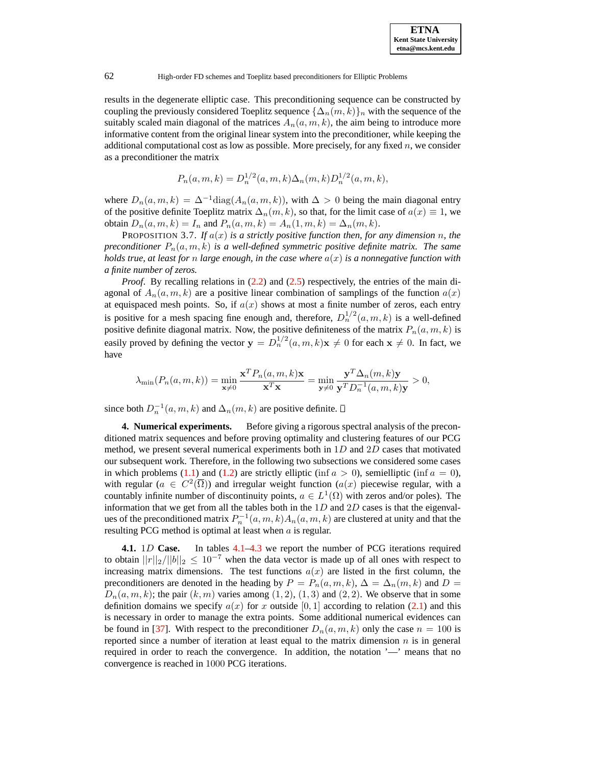results in the degenerate elliptic case. This preconditioning sequence can be constructed by coupling the previously considered Toeplitz sequence  ${\{\Delta_n(m, k)\}}_n$  with the sequence of the suitably scaled main diagonal of the matrices  $A_n(a, m, k)$ , the aim being to introduce more informative content from the original linear system into the preconditioner, while keeping the additional computational cost as low as possible. More precisely, for any fixed  $n$ , we consider as a preconditioner the matrix

<span id="page-7-1"></span>
$$
P_n(a, m, k) = D_n^{1/2}(a, m, k) \Delta_n(m, k) D_n^{1/2}(a, m, k),
$$

where  $D_n(a, m, k) = \Delta^{-1} \text{diag}(A_n(a, m, k))$ , with  $\Delta > 0$  being the main diagonal entry of the positive definite Toeplitz matrix  $\Delta_n(m, k)$ , so that, for the limit case of  $a(x) \equiv 1$ , we obtain  $D_n(a, m, k) = I_n$  and  $P_n(a, m, k) = A_n(1, m, k) = \Delta_n(m, k)$ .

PROPOSITION 3.7. *If*  $a(x)$  *is a strictly positive function then, for any dimension n, the preconditioner*  $P_n(a, m, k)$  *is a well-defined symmetric positive definite matrix. The same holds true,* at least for *n* large enough, in the case where  $a(x)$  *is a nonnegative function with a finite number of zeros.*

*Proof.* By recalling relations in [\(2.2\)](#page-4-0) and [\(2.5\)](#page-4-1) respectively, the entries of the main diagonal of  $A_n(a, m, k)$  are a positive linear combination of samplings of the function  $a(x)$ at equispaced mesh points. So, if  $a(x)$  shows at most a finite number of zeros, each entry is positive for a mesh spacing fine enough and, therefore,  $D_n^{1/2}(a, m, k)$  is a well-defined positive definite diagonal matrix. Now, the positive definiteness of the matrix  $P_n(a, m, k)$  is easily proved by defining the vector  $y = D_n^{1/2}(a, m, k)x \neq 0$  for each  $x \neq 0$ . In fact, we have

$$
\lambda_{\min}(P_n(a,m,k)) = \min_{\mathbf{x}\neq 0} \frac{\mathbf{x}^T P_n(a,m,k)\mathbf{x}}{\mathbf{x}^T \mathbf{x}} = \min_{\mathbf{y}\neq 0} \frac{\mathbf{y}^T \Delta_n(m,k)\mathbf{y}}{\mathbf{y}^T D_n^{-1}(a,m,k)\mathbf{y}} > 0,
$$

<span id="page-7-0"></span>since both  $D_n^{-1}(a, m, k)$  and  $\Delta_n(m, k)$  are positive definite.

**4. Numerical experiments.** Before giving a rigorous spectral analysis of the preconditioned matrix sequences and before proving optimality and clustering features of our PCG method, we present several numerical experiments both in  $1D$  and  $2D$  cases that motivated our subsequent work. Therefore, in the following two subsections we considered some cases in which problems [\(1.1\)](#page-1-0) and [\(1.2\)](#page-1-1) are strictly elliptic (inf  $a > 0$ ), semielliptic (inf  $a = 0$ ), with regular  $(a \in C^2(\overline{\Omega}))$  and irregular weight function  $(a(x))$  piecewise regular, with a countably infinite number of discontinuity points,  $a \in L^1(\Omega)$  with zeros and/or poles). The information that we get from all the tables both in the  $1D$  and  $2D$  cases is that the eigenvalues of the preconditioned matrix  $P_n^{-1}(a, m, k)A_n(a, m, k)$  are clustered at unity and that the resulting PCG method is optimal at least when  $a$  is regular.

**4.1.** 1D **Case.** In tables [4.1](#page-8-0)[–4.3](#page-9-0) we report the number of PCG iterations required to obtain  $||r||_2/||b||_2 \leq 10^{-7}$  when the data vector is made up of all ones with respect to increasing matrix dimensions. The test functions  $a(x)$  are listed in the first column, the preconditioners are denoted in the heading by  $P = P_n(a, m, k)$ ,  $\Delta = \Delta_n(m, k)$  and  $D =$  $D_n(a, m, k)$ ; the pair  $(k, m)$  varies among  $(1, 2)$ ,  $(1, 3)$  and  $(2, 2)$ . We observe that in some definition domains we specify  $a(x)$  for x outside [0, 1] according to relation [\(2.1\)](#page-3-3) and this is necessary in order to manage the extra points. Some additional numerical evidences can be found in [\[37\]](#page-29-21). With respect to the preconditioner  $D_n(a, m, k)$  only the case  $n = 100$  is reported since a number of iteration at least equal to the matrix dimension  $n$  is in general required in order to reach the convergence. In addition, the notation '—' means that no convergence is reached in 1000 PCG iterations.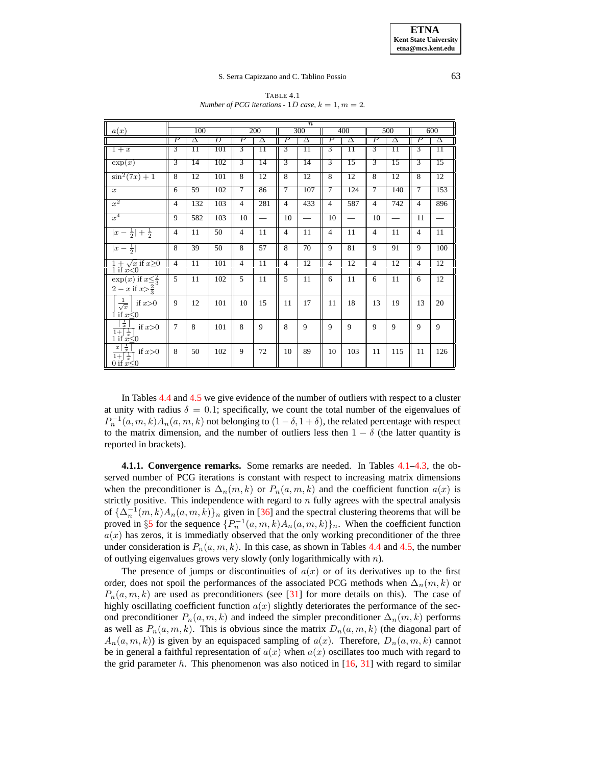<span id="page-8-0"></span>

|                                                                                              |                  |                 |     |                |                 |                | $\overline{n}$           |                |     |                |                          |                |                          |
|----------------------------------------------------------------------------------------------|------------------|-----------------|-----|----------------|-----------------|----------------|--------------------------|----------------|-----|----------------|--------------------------|----------------|--------------------------|
| a(x)                                                                                         |                  | 100             |     |                | 200             |                | 300                      |                | 400 |                | 500                      |                | 600                      |
|                                                                                              | $\boldsymbol{P}$ | Δ               | D   | P              | Δ               | Ρ              | Δ                        | Ρ              | Δ   | Ρ              | Δ                        | Ρ              | Δ                        |
| $1+x$                                                                                        | 3                | Π               | 101 | 3              | Π               | 3              | Π                        | 3              | Π   | 3              | Π                        | 3              | Π                        |
| $\exp(x)$                                                                                    | $\overline{3}$   | 14              | 102 | $\overline{3}$ | 14              | 3              | 14                       | 3              | 15  | $\overline{3}$ | 15                       | $\overline{3}$ | 15                       |
| $\sin^2(7x) + 1$                                                                             | 8                | 12              | 101 | 8              | 12              | 8              | 12                       | 8              | 12  | 8              | 12                       | 8              | 12                       |
| $\boldsymbol{x}$                                                                             | 6                | 59              | 102 | 7              | 86              | 7              | 107                      | 7              | 124 | 7              | 140                      | 7              | 153                      |
| $x^2$                                                                                        | $\overline{4}$   | 132             | 103 | $\overline{4}$ | 281             | $\overline{4}$ | 433                      | $\overline{4}$ | 587 | 4              | 742                      | $\overline{4}$ | 896                      |
| $x^4$                                                                                        | 9                | 582             | 103 | 10             |                 | 10             | $\overline{\phantom{0}}$ | 10             |     | 10             | $\overline{\phantom{0}}$ | 11             | $\overline{\phantom{0}}$ |
| $ x-\frac{1}{2} +\frac{1}{2}$                                                                | $\overline{4}$   | 11              | 50  | $\overline{4}$ | 11              | $\overline{4}$ | 11                       | $\overline{4}$ | 11  | $\overline{4}$ | 11                       | $\overline{4}$ | 11                       |
| $ x-\frac{1}{2} $                                                                            | 8                | 39              | 50  | 8              | 57              | 8              | 70                       | 9              | 81  | 9              | 91                       | 9              | 100                      |
| $1 + \sqrt{x}$ if $x \ge 0$<br>1 if $x<0$                                                    | $\overline{4}$   | $\overline{11}$ | 101 | $\overline{4}$ | $\overline{11}$ | $\overline{4}$ | 12                       | $\overline{4}$ | 12  | $\overline{4}$ | 12                       | $\overline{4}$ | 12                       |
| $\overline{\exp(x)}$ if $x \leq \frac{2}{3}$<br>$2 - x$ if $x > \frac{2}{3}$                 | 5                | 11              | 102 | 5              | 11              | 5              | 11                       | 6              | 11  | 6              | 11                       | 6              | 12                       |
| $\frac{1}{\sqrt{x}}$<br>if $x>0$<br>1 if $x<0$                                               | $\mathbf Q$      | 12              | 101 | 10             | 15              | 11             | 17                       | 11             | 18  | 13             | 19                       | 13             | 20                       |
| $\frac{1}{x}$<br>if $x>0$<br>Ί<br>$1+\lceil$<br>$\frac{1}{1}$ if $\frac{x}{x} < 0$           | 7                | 8               | 101 | 8              | 9               | 8              | $\mathbf Q$              | 9              | 9   | $\mathbf Q$    | 9                        | 9              | 9                        |
| $\frac{1}{x}$<br>$\boldsymbol{x}$<br>if $x>0$<br>$\frac{1}{x}$<br>$1 +  $<br>0 if $x \leq 0$ | 8                | 50              | 102 | 9              | 72              | 10             | 89                       | 10             | 103 | 11             | 115                      | 11             | 126                      |

TABLE 4.1 *Number of PCG iterations*  $\cdot$  1*D case*,  $k = 1, m = 2$ .

In Tables [4.4](#page-10-0) and [4.5](#page-11-0) we give evidence of the number of outliers with respect to a cluster at unity with radius  $\delta = 0.1$ ; specifically, we count the total number of the eigenvalues of  $P_n^{-1}(a, m, k)A_n(a, m, k)$  not belonging to  $(1 - \delta, 1 + \delta)$ , the related percentage with respect to the matrix dimension, and the number of outliers less then  $1 - \delta$  (the latter quantity is reported in brackets).

<span id="page-8-1"></span>**4.1.1. Convergence remarks.** Some remarks are needed. In Tables [4.1](#page-8-0)[–4.3,](#page-9-0) the observed number of PCG iterations is constant with respect to increasing matrix dimensions when the preconditioner is  $\Delta_n(m, k)$  or  $P_n(a, m, k)$  and the coefficient function  $a(x)$  is strictly positive. This independence with regard to  $n$  fully agrees with the spectral analysis of  $\{\Delta_n^{-1}(m,k)A_n(a,m,k)\}\$ <sub>n</sub> given in [\[36\]](#page-29-8) and the spectral clustering theorems that will be proved in §[5](#page-15-0) for the sequence  $\{P_n^{-1}(a, m, k)A_n(a, m, k)\}_n$ . When the coefficient function  $a(x)$  has zeros, it is immediatly observed that the only working preconditioner of the three under consideration is  $P_n(a, m, k)$ . In this case, as shown in Tables [4.4](#page-10-0) and [4.5,](#page-11-0) the number of outlying eigenvalues grows very slowly (only logarithmically with  $n$ ).

The presence of jumps or discontinuities of  $a(x)$  or of its derivatives up to the first order, does not spoil the performances of the associated PCG methods when  $\Delta_n(m, k)$  or  $P_n(a, m, k)$  are used as preconditioners (see [\[31\]](#page-29-4) for more details on this). The case of highly oscillating coefficient function  $a(x)$  slightly deteriorates the performance of the second preconditioner  $P_n(a, m, k)$  and indeed the simpler preconditioner  $\Delta_n(m, k)$  performs as well as  $P_n(a, m, k)$ . This is obvious since the matrix  $D_n(a, m, k)$  (the diagonal part of  $A_n(a, m, k)$ ) is given by an equispaced sampling of  $a(x)$ . Therefore,  $D_n(a, m, k)$  cannot be in general a faithful representation of  $a(x)$  when  $a(x)$  oscillates too much with regard to the grid parameter  $h$ . This phenomenon was also noticed in  $[16, 31]$  $[16, 31]$  $[16, 31]$  with regard to similar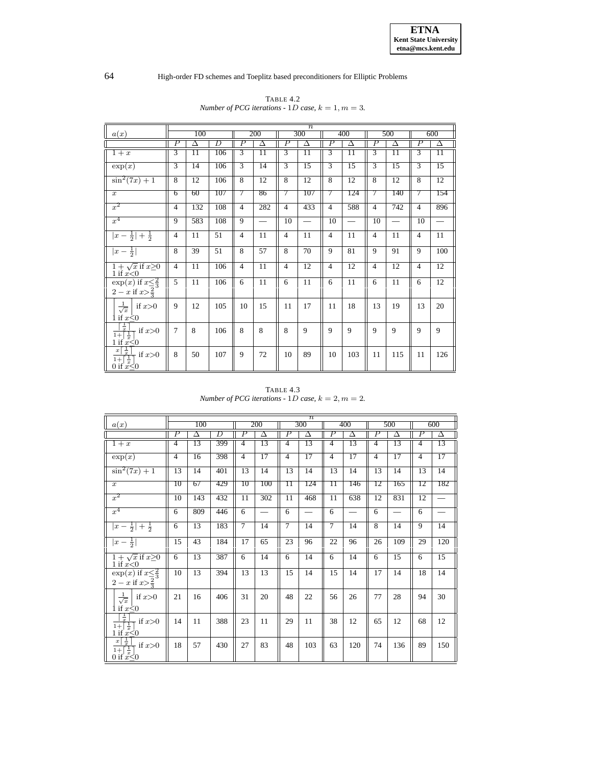|                                                                                           |                |                 |     |                |                          |                | $\overline{n}$ |                |     |                |                          |                |                          |
|-------------------------------------------------------------------------------------------|----------------|-----------------|-----|----------------|--------------------------|----------------|----------------|----------------|-----|----------------|--------------------------|----------------|--------------------------|
| a(x)                                                                                      |                | 100             |     |                | 200                      |                | 300            | 400            |     | 500            |                          |                | 600                      |
|                                                                                           | Р              | Δ               | D   | Ρ              | Δ                        |                | Δ              | Ρ              | Δ   | Р              | Δ                        |                | Δ                        |
| $1+x$                                                                                     | 3              | Π               | 106 | 3              | 11                       | 3              | П              | 3              | 11  | 3              | 11                       | 3              | Π                        |
| $\exp(x)$                                                                                 | 3              | 14              | 106 | 3              | 14                       | 3              | 15             | 3              | 15  | $\overline{3}$ | 15                       | 3              | 15                       |
| $\sin^2(7x) + 1$                                                                          | 8              | 12              | 106 | $\overline{8}$ | 12                       | 8              | 12             | 8              | 12  | $\overline{8}$ | 12                       | $\overline{8}$ | 12                       |
| $\boldsymbol{x}$                                                                          | 6              | 60              | 107 | 7              | 86                       | 7              | 107            | 7              | 124 | 7              | 140                      | 7              | 154                      |
| $x^2$                                                                                     | $\overline{4}$ | 132             | 108 | $\overline{4}$ | 282                      | $\overline{4}$ | 433            | $\overline{4}$ | 588 | $\overline{4}$ | 742                      | $\overline{4}$ | 896                      |
| $x^4$                                                                                     | 9              | 583             | 108 | 9              | $\overline{\phantom{0}}$ | 10             |                | 10             |     | 10             | $\overline{\phantom{0}}$ | 10             | $\overline{\phantom{0}}$ |
| $ x-\frac{1}{2} +\frac{1}{2}$                                                             | $\overline{4}$ | 11              | 51  | $\overline{4}$ | 11                       | $\overline{4}$ | 11             | $\overline{4}$ | 11  | $\overline{4}$ | 11                       | $\overline{4}$ | 11                       |
| $ x-\frac{1}{2} $                                                                         | 8              | 39              | 51  | 8              | 57                       | 8              | 70             | 9              | 81  | $\mathbf{Q}$   | 91                       | 9              | 100                      |
| $1+\sqrt{x}$ if $x\geq0$<br>1 if $x<0$                                                    | $\overline{4}$ | $\overline{11}$ | 106 | $\overline{4}$ | $\overline{11}$          | $\overline{4}$ | 12             | $\overline{4}$ | 12  | $\overline{4}$ | 12                       | $\overline{4}$ | 12                       |
| $\exp(x)$ if $x \leq \frac{2}{3}$<br>$2 - x$ if $x > \frac{2}{3}$                         | 5              | 11              | 106 | 6              | 11                       | 6              | 11             | 6              | 11  | 6              | 11                       | 6              | 12                       |
| $\frac{1}{\sqrt{x}}$<br>if $x>0$<br>1 if $x \leq 0$                                       | $\mathbf Q$    | 12              | 105 | 10             | 15                       | 11             | 17             | 11             | 18  | 13             | 19                       | 13             | 20                       |
| $\frac{1}{x}$<br>if x>0<br>ב<br>$1+$<br>$\overline{x}$<br>1 if $x<0$                      | $\tau$         | 8               | 106 | 8              | 8                        | 8              | 9              | $\mathbf Q$    | 9   | 9              | 9                        | $\mathbf{Q}$   | 9                        |
| $\frac{1}{x}$<br>$\boldsymbol{x}$<br>if $x>0$<br>$\frac{1}{x}$<br>$1+$<br>0 if $x \leq 0$ | 8              | 50              | 107 | $\mathbf Q$    | 72                       | 10             | 89             | 10             | 103 | 11             | 115                      | 11             | 126                      |

TABLE 4.2 *Number of PCG iterations*  $\cdot$  1D *case,*  $k = 1, m = 3$ .

TABLE 4.3 *Number of PCG iterations*  $\cdot$  1*D case,*  $k = 2, m = 2$ .

<span id="page-9-0"></span>

|                                                                                                              |    |     |     |     |     |                | $\overline{n}$           |                 |     |                |     |    |                          |
|--------------------------------------------------------------------------------------------------------------|----|-----|-----|-----|-----|----------------|--------------------------|-----------------|-----|----------------|-----|----|--------------------------|
| a(x)                                                                                                         |    | 100 |     | 200 |     | 300            |                          | 400             |     | 500            |     |    | 600                      |
|                                                                                                              | Р  | Δ   | D   | P   | Δ   | Ρ              | Δ                        | P               | Δ   | Ρ              | Δ   | Ρ  | Δ                        |
| $1+x$                                                                                                        | 4  | 13  | 399 | 4   | 13  | 4              | 13                       | 4               | 13  | 4              | 13  | 4  | 13                       |
| $\exp(x)$                                                                                                    | 4  | 16  | 398 | 4   | 17  | $\overline{4}$ | $\overline{17}$          | 4               | 17  | 4              | 17  | 4  | 17                       |
| $\sin^2(7x) + 1$                                                                                             | 13 | 14  | 401 | 13  | 14  | 13             | 14                       | 13              | 14  | 13             | 14  | 13 | 14                       |
| $\boldsymbol{x}$                                                                                             | 10 | 67  | 429 | 10  | 100 | 11             | 124                      | 11              | 146 | 12             | 165 | 12 | 182                      |
| $x^2$                                                                                                        | 10 | 143 | 432 | 11  | 302 | 11             | 468                      | $\overline{11}$ | 638 | 12             | 831 | 12 |                          |
| $x^4$                                                                                                        | 6  | 809 | 446 | 6   |     | 6              | $\overline{\phantom{0}}$ | 6               |     | 6              |     | 6  | $\overline{\phantom{0}}$ |
| $ x-\frac{1}{2} +\frac{1}{2}$                                                                                | 6  | 13  | 183 | 7   | 14  | $\overline{7}$ | 14                       | $\tau$          | 14  | 8              | 14  | 9  | 14                       |
| $ x-\frac{1}{2} $                                                                                            | 15 | 43  | 184 | 17  | 65  | 23             | 96                       | 22              | 96  | 26             | 109 | 29 | 120                      |
| $1 + \sqrt{x}$ if $x \ge 0$<br>1 if $x<0$                                                                    | 6  | 13  | 387 | 6   | 14  | 6              | 14                       | $\overline{6}$  | 14  | $\overline{6}$ | 15  | 6  | 15                       |
| $\exp(x)$ if $x \leq \frac{2}{3}$<br>$2 - x$ if $x > \frac{2}{3}$                                            | 10 | 13  | 394 | 13  | 13  | 15             | 14                       | 15              | 14  | 17             | 14  | 18 | 14                       |
| $\frac{1}{\sqrt{x}}$<br>if $x>0$<br>if $x<0$                                                                 | 21 | 16  | 406 | 31  | 20  | 48             | 22                       | 56              | 26  | 77             | 28  | 94 | 30                       |
| $\frac{1}{x}$<br>if $x>0$<br>$1+$<br>$\frac{1}{x}$<br>1 if $x<0$                                             | 14 | 11  | 388 | 23  | 11  | 29             | 11                       | 38              | 12  | 65             | 12  | 68 | 12                       |
| $\frac{1}{x}$<br>$\boldsymbol{x}$<br>if $x>0$<br>$\mathbf 1$<br>$1+$<br>$\overline{x}$<br>0 if $\bar{x}$ < 0 | 18 | 57  | 430 | 27  | 83  | 48             | 103                      | 63              | 120 | 74             | 136 | 89 | 150                      |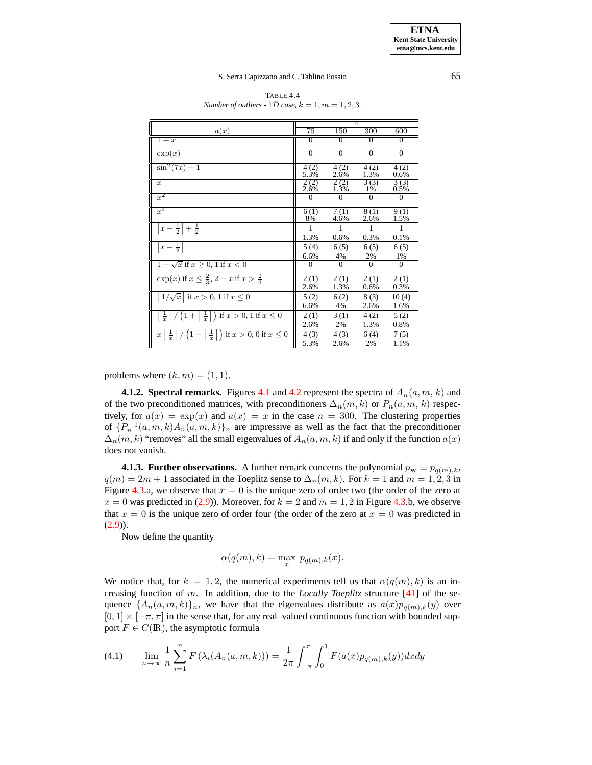<span id="page-10-0"></span>

|                                                                                                     |          |                | n              |                |
|-----------------------------------------------------------------------------------------------------|----------|----------------|----------------|----------------|
| a(x)                                                                                                | 75       | 150            | 300            | 600            |
| $1+x$                                                                                               | $\Omega$ | $\Omega$       | $\overline{0}$ | $\Omega$       |
| $\exp(x)$                                                                                           | $\theta$ | $\overline{0}$ | $\overline{0}$ | $\overline{0}$ |
| $\sin^2(7x) + 1$                                                                                    | 4 (2)    | 4(2)           | 4(2)           | 4(2)           |
|                                                                                                     | 5.3%     | 2.6%           | 1.3%           | 0.6%           |
| $\boldsymbol{x}$                                                                                    | 2 (2)    | 2 (2)          | 3(3)           | 3(3)           |
|                                                                                                     | 2.6%     | 1.3%           | 1%             | 0.5%           |
| $x^2$                                                                                               |          |                | $\Omega$       | 0              |
| $x^4$                                                                                               | 6(1)     | 7(1)           | 8(1)           | 9(1)           |
|                                                                                                     | 8%       | 4.6%           | 2.6%           | 1.5%           |
| $ x-\frac{1}{2} +\frac{1}{2}$                                                                       | 1.3%     | 0.6%           | 0.3%           | 0.1%           |
| $\left x-\frac{1}{2}\right $                                                                        | 5(4)     | 6(5)           | 6(5)           | 6(5)           |
|                                                                                                     | 6.6%     | 4%             | 2%             | 1%             |
| $1+\sqrt{x}$ if $x\geq 0, 1$ if $x<0$                                                               | $\Omega$ | $\Omega$       | $\Omega$       | $\Omega$       |
| $\exp(x)$ if $x \leq \frac{2}{3}$ , $2 - x$ if $x > \frac{2}{3}$                                    | 2(1)     | 2(1)           | 2(1)           | 2(1)           |
|                                                                                                     | 2.6%     | 1.3%           | 0.6%           | 0.3%           |
| $\left  \frac{1}{\sqrt{x}} \right $ if $x > 0$ , 1 if $x \leq 0$                                    | 5(2)     | 6(2)           | 8(3)           | 10(4)          |
|                                                                                                     | 6.6%     | 4%             | 2.6%           | 1.6%           |
| $\left \frac{1}{x}\right  / \left(1 + \left \frac{1}{x}\right \right)$ if $x > 0$ , 1 if $x \leq 0$ | 2(1)     | 3(1)           | 4(2)           | 5(2)           |
|                                                                                                     | 2.6%     | 2%             | 1.3%           | 0.8%           |
| $x\left \frac{1}{x}\right /(1+\left \frac{1}{x}\right )$ if $x>0,0$ if $x\leq 0$                    | 4(3)     | 4(3)           | 6(4)           | 7(5)           |
|                                                                                                     | 5.3%     | 2.6%           | 2%             | 1.1%           |

TABLE 4.4 *Number of outliers*  $\cdot$  1D *case,*  $k = 1, m = 1, 2, 3$ .

<span id="page-10-2"></span>problems where  $(k, m) = (1, 1)$ .

**[4.1](#page-11-1).2. Spectral remarks.** Figures 4.1 and [4.2](#page-12-0) represent the spectra of  $A_n(a, m, k)$  and of the two preconditioned matrices, with preconditioners  $\Delta_n(m, k)$  or  $P_n(a, m, k)$  respectively, for  $a(x) = \exp(x)$  and  $a(x) = x$  in the case  $n = 300$ . The clustering properties of  $\{P_n^{-1}(a, m, k)A_n(a, m, k)\}_n$  are impressive as well as the fact that the preconditioner  $\Delta_n(m, k)$  "removes" all the small eigenvalues of  $A_n(a, m, k)$  if and only if the function  $a(x)$ does not vanish.

**4.1.3. Further observations.** A further remark concerns the polynomial  $p_w \equiv p_{q(m),k}$ ,  $q(m) = 2m + 1$  associated in the Toeplitz sense to  $\Delta_n(m, k)$ . For  $k = 1$  and  $m = 1, 2, 3$  in Figure [4.3.](#page-12-1)a, we observe that  $x = 0$  is the unique zero of order two (the order of the zero at  $x = 0$  was predicted in [\(2.9\)](#page-5-2)). Moreover, for  $k = 2$  and  $m = 1, 2$  in Figure [4.3.](#page-12-1)b, we observe that  $x = 0$  is the unique zero of order four (the order of the zero at  $x = 0$  was predicted in  $(2.9)$ .

Now define the quantity

$$
\alpha(q(m),k) = \max_{x} p_{q(m),k}(x).
$$

We notice that, for  $k = 1, 2$ , the numerical experiments tell us that  $\alpha(q(m), k)$  is an increasing function of m. In addition, due to the *Locally Toeplitz* structure [\[41\]](#page-29-7) of the sequence  $\{A_n(a, m, k)\}_n$ , we have that the eigenvalues distribute as  $a(x)p_{q(m),k}(y)$  over  $[0, 1] \times [-\pi, \pi]$  in the sense that, for any real–valued continuous function with bounded support  $F \in C(\mathbb{R})$ , the asymptotic formula

<span id="page-10-1"></span>(4.1) 
$$
\lim_{n \to \infty} \frac{1}{n} \sum_{i=1}^{n} F(\lambda_i(A_n(a, m, k))) = \frac{1}{2\pi} \int_{-\pi}^{\pi} \int_{0}^{1} F(a(x) p_{q(m), k}(y)) dx dy
$$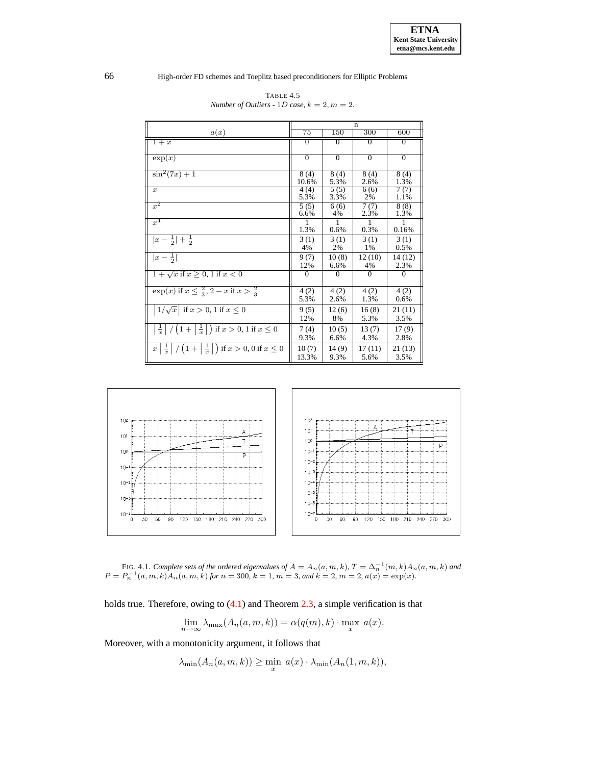<span id="page-11-0"></span>

|                                                                                                      |                |                | n              |                |
|------------------------------------------------------------------------------------------------------|----------------|----------------|----------------|----------------|
| a(x)                                                                                                 | 75             | 150            | 300            | 600            |
| $1+x$                                                                                                | $\Omega$       | $\overline{0}$ | $\overline{0}$ | $\Omega$       |
| $\exp(x)$                                                                                            | $\overline{0}$ | $\overline{0}$ | $\overline{0}$ | $\overline{0}$ |
| $\sin^2(7x) + 1$                                                                                     | 8(4)           | 8(4)           | 8(4)           | 8(4)           |
|                                                                                                      | 10.6%          | 5.3%           | 2.6%           | 1.3%           |
| $\boldsymbol{x}$                                                                                     | 4(4)           | 5(5)           | 6(6)           | 7(7)           |
|                                                                                                      | 5.3%           | 3.3%           | 2%             | 1.1%           |
| $x^2$                                                                                                | 5(5)           | 6(6)           | 7(7)           | 8(8)           |
|                                                                                                      | 6.6%           | 4%             | 2.3%           | 1.3%           |
| $x^4$                                                                                                | 1.3%           | 0.6%           | 0.3%           | 0.16%          |
| $ x-\frac{1}{2} +\frac{1}{2}$                                                                        | 3(1)           | 3(1)           | 3(1)           | 3(1)           |
|                                                                                                      | 4%             | 2%             | 1%             | 0.5%           |
| $ x-\frac{1}{2} $                                                                                    | 9(7)           | 10(8)          | 12(10)         | 14 (12)        |
|                                                                                                      | 12%            | 6.6%           | 4%             | 2.3%           |
| $1 + \sqrt{x}$ if $x > 0$ , 1 if $x < 0$                                                             | $\Omega$       | $\Omega$       | $\Omega$       | $\Omega$       |
| $\exp(x)$ if $x \leq \frac{2}{3}$ , $2 - x$ if $x > \frac{2}{3}$                                     | 4(2)           | 4(2)           | 4(2)           | 4(2)           |
|                                                                                                      | 5.3%           | 2.6%           | 1.3%           | 0.6%           |
| $\left  \frac{1}{\sqrt{x}} \right $ if $x > 0$ , 1 if $x \leq 0$                                     | 9(5)           | 12(6)          | 16(8)          | 21 (11)        |
|                                                                                                      | 12%            | 8%             | 5.3%           | 3.5%           |
| $\left \frac{1}{x}\right  / \left(1 + \left \frac{1}{x}\right \right)$ if $x > 0$ , 1 if $x \leq 0$  | 7(4)           | 10(5)          | 13(7)          | 17(9)          |
|                                                                                                      | 9.3%           | 6.6%           | 4.3%           | 2.8%           |
| $x\left[\frac{1}{x}\right] / \left(1 + \left[\frac{1}{x}\right]\right)$ if $x > 0$ , 0 if $x \leq 0$ | 10(7)          | 14(9)          | 17(11)         | 21 (13)        |
|                                                                                                      | 13.3%          | 9.3%           | 5.6%           | 3.5%           |

TABLE 4.5 *Number of Outliers -* 1*D case,*  $k = 2, m = 2$ .



<span id="page-11-1"></span>FIG. 4.1. *Complete sets of the ordered eigenvalues of*  $A = A_n(a, m, k)$ ,  $T = \Delta_n^{-1}(m, k)A_n(a, m, k)$  and  $P = P_n^{-1}(a, m, k)A_n(a, m, k)$  for  $n = 300$ ,  $k = 1$ ,  $m = 3$ , and  $k = 2$ ,  $m = 2$ ,  $a(x) = \exp(x)$ .

holds true. Therefore, owing to [\(4.1\)](#page-10-1) and Theorem [2.3,](#page-4-2) a simple verification is that

$$
\lim_{n \to \infty} \lambda_{\max}(A_n(a, m, k)) = \alpha(q(m), k) \cdot \max_x a(x).
$$

Moreover, with a monotonicity argument, it follows that

 $\lambda_{\min}(A_n(a,m,k)) \geq \min_x a(x) \cdot \lambda_{\min}(A_n(1,m,k)),$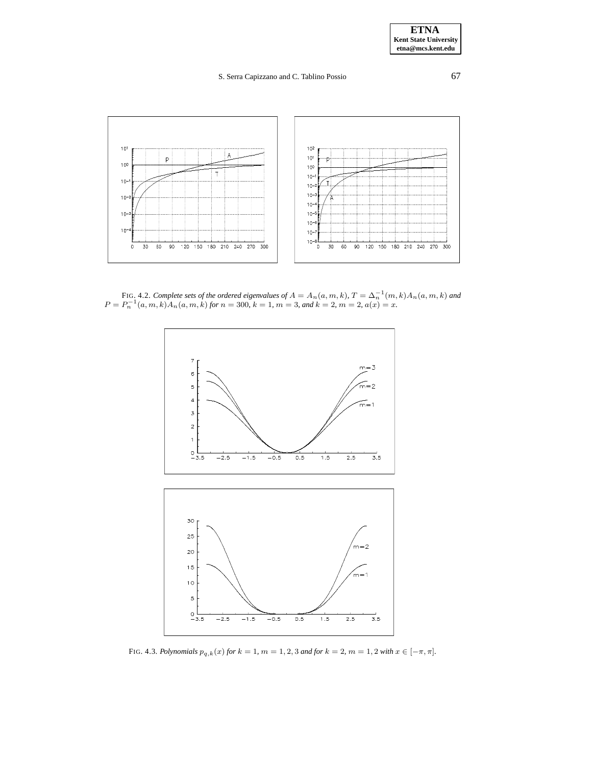

<span id="page-12-0"></span>FIG. 4.2. *Complete sets of the ordered eigenvalues of*  $A = A_n(a, m, k)$ ,  $T = \Delta_n^{-1}(m, k)A_n(a, m, k)$  and  $P = P_n^{-1}(a, m, k)A_n(a, m, k)$  for  $n = 300$ ,  $k = 1, m = 3$ , and  $k = 2, m = 2, a(x) = x$ .



<span id="page-12-1"></span>FIG. 4.3. *Polynomials*  $p_{q,k}(x)$  *for*  $k = 1$ *,*  $m = 1, 2, 3$  *and for*  $k = 2$ *,*  $m = 1, 2$  *with*  $x \in [-\pi, \pi]$ *.*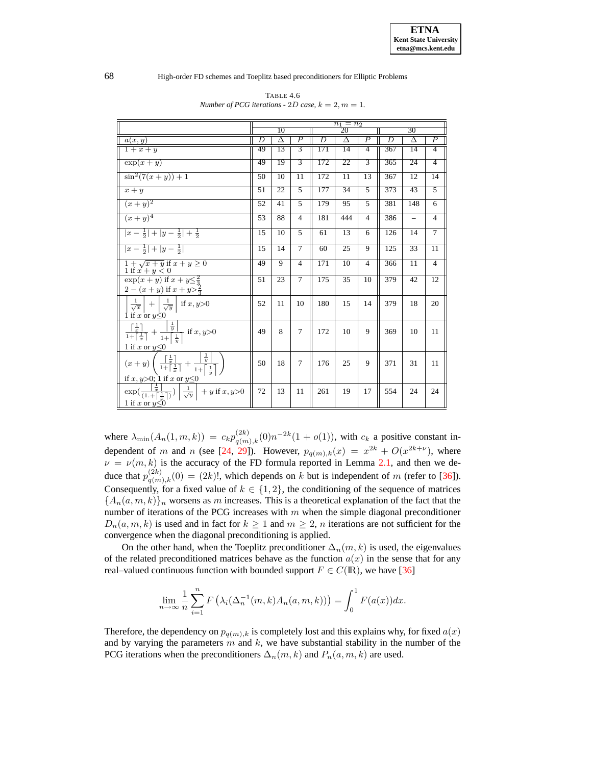<span id="page-13-0"></span>

|                                                                                                                                                                                                                              |    | 10              |                          |     | $n_1 = n_2$<br>20 |                |     | 30                |                |
|------------------------------------------------------------------------------------------------------------------------------------------------------------------------------------------------------------------------------|----|-----------------|--------------------------|-----|-------------------|----------------|-----|-------------------|----------------|
| $\overline{a}(x,y)$                                                                                                                                                                                                          | D  | Δ               | $\boldsymbol{P}$         | D   | Δ                 | $\overline{P}$ | D   | Δ                 | P              |
| $1+x+y$                                                                                                                                                                                                                      | 49 | 13              | 3                        | 171 | 14                | 4              | 367 | 14                | 4              |
| $\exp(x+y)$                                                                                                                                                                                                                  | 49 | 19              | $\overline{3}$           | 172 | 22                | 3              | 365 | 24                | $\overline{4}$ |
| $\sin^2(7(x+y))+1$                                                                                                                                                                                                           | 50 | $\overline{10}$ | 11                       | 172 | 11                | 13             | 367 | $\overline{12}$   | 14             |
| $x + y$                                                                                                                                                                                                                      | 51 | 22              | 5                        | 177 | 34                | 5              | 373 | 43                | 5              |
| $(x+y)^2$                                                                                                                                                                                                                    | 52 | 41              | 5                        | 179 | 95                | 5              | 381 | 148               | 6              |
| $(x+y)^4$                                                                                                                                                                                                                    | 53 | 88              | $\overline{4}$           | 181 | 444               | $\overline{4}$ | 386 | $\qquad \qquad -$ | 4              |
| $ x-\frac{1}{2} + y-\frac{1}{2} +\frac{1}{2}$                                                                                                                                                                                | 15 | 10              | $\overline{\phantom{0}}$ | 61  | 13                | 6              | 126 | 14                | $\tau$         |
| $ x-\frac{1}{2} + y-\frac{1}{2} $                                                                                                                                                                                            | 15 | 14              | $\tau$                   | 60  | 25                | 9              | 125 | 33                | 11             |
| $1 + \sqrt{x+y}$ if $x+y \geq 0$                                                                                                                                                                                             | 49 | 9               | $\overline{4}$           | 171 | 10                | $\overline{4}$ | 366 | 11                | $\overline{4}$ |
| $\frac{1 \text{ if } x + y \leq 0}{\exp(x + y) \text{ if } x + y \leq \frac{2}{3}}$<br>$2 - (x + y)$ if $x + y > \frac{2}{3}$                                                                                                | 51 | 23              | $\overline{7}$           | 175 | 35                | 10             | 379 | 42                | 12             |
| $\left \frac{1}{\sqrt{x}}\right  + \left \frac{1}{\sqrt{y}}\right $ if $x, y>0$<br>1 if x or $y<0$                                                                                                                           | 52 | 11              | 10                       | 180 | 15                | 14             | 379 | 18                | 20             |
| $\overline{\frac{\left\lceil \frac{1}{x}\right\rceil}{1+\left\lceil \frac{1}{x}\right\rceil}}+\frac{\left\lceil \frac{1}{y}\right\rceil}{1+\left\lceil \frac{1}{y}\right\rceil} \text{ if } x,y\text{>0}$<br>1 if x or $y<0$ | 49 | $\mathbf{8}$    | $\tau$                   | 172 | 10                | 9              | 369 | 10                | 11             |
| $(x+y)\left(\frac{\left\lceil\frac{1}{x}\right\rceil}{1+\left\lceil\frac{1}{x}\right\rceil}+\frac{\left\lceil\frac{1}{y}\right\rceil}{1+\left\lceil\frac{1}{y}\right\rceil}$<br>if x, y>0; 1 if x or y $\leq$ 0              | 50 | 18              | $\tau$                   | 176 | 25                | 9              | 371 | 31                | 11             |
| $\exp(\frac{\frac{1}{x}+y}{(1+\left[\frac{1}{x}\right])}\right)\left \frac{1}{\sqrt{y}}\right +y$ if $x, y>0$<br>1 if x or $y \le 0$                                                                                         | 72 | 13              | 11                       | 261 | 19                | 17             | 554 | 24                | 24             |

TABLE 4.6 *Number of PCG iterations*  $\cdot$  2*D case*,  $k = 2, m = 1$ .

where  $\lambda_{\min}(A_n(1,m,k)) = c_k p_{q(m),k}^{(2k)}(0) n^{-2k} (1 + o(1))$ , with  $c_k$  a positive constant in-dependent of m and n (see [\[24,](#page-29-22) [29\]](#page-29-23)). However,  $p_{q(m),k}(x) = x^{2k} + O(x^{2k+\nu})$ , where  $\nu = \nu(m, k)$  is the accuracy of the FD formula reported in Lemma [2.1,](#page-3-1) and then we deduce that  $p_{q(m),k}^{(2k)}(0) = (2k)!$ , which depends on k but is independent of m (refer to [\[36\]](#page-29-8)). Consequently, for a fixed value of  $k \in \{1,2\}$ , the conditioning of the sequence of matrices  ${A_n(a, m, k)}_n$  worsens as m increases. This is a theoretical explanation of the fact that the number of iterations of the PCG increases with  $m$  when the simple diagonal preconditioner  $D_n(a, m, k)$  is used and in fact for  $k \ge 1$  and  $m \ge 2$ , *n* iterations are not sufficient for the convergence when the diagonal preconditioning is applied.

On the other hand, when the Toeplitz preconditioner  $\Delta_n(m, k)$  is used, the eigenvalues of the related preconditioned matrices behave as the function  $a(x)$  in the sense that for any real–valued continuous function with bounded support  $F \in C(\mathbb{R})$ , we have [\[36\]](#page-29-8)

$$
\lim_{n \to \infty} \frac{1}{n} \sum_{i=1}^{n} F\left(\lambda_i(\Delta_n^{-1}(m,k)A_n(a,m,k))\right) = \int_0^1 F(a(x))dx.
$$

Therefore, the dependency on  $p_{q(m),k}$  is completely lost and this explains why, for fixed  $a(x)$ and by varying the parameters  $m$  and  $k$ , we have substantial stability in the number of the PCG iterations when the preconditioners  $\Delta_n(m, k)$  and  $P_n(a, m, k)$  are used.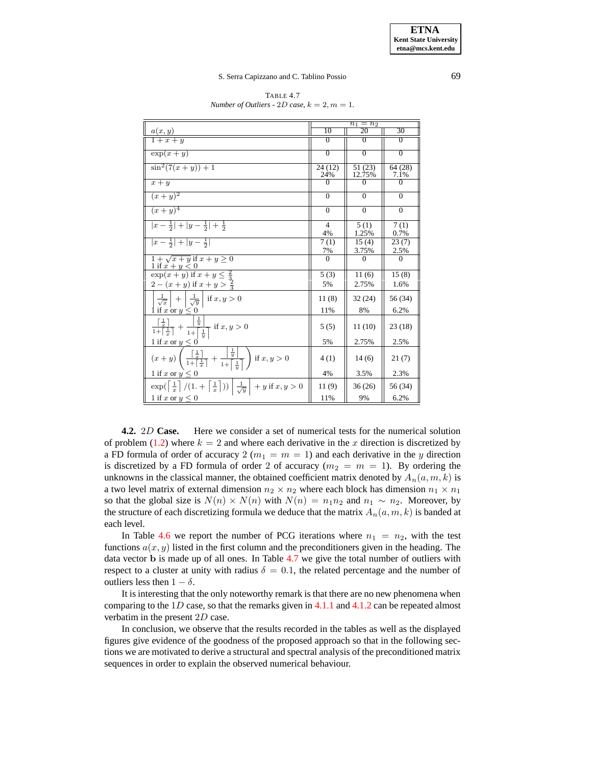<span id="page-14-0"></span>

|                                                                                                                                                                                                      |                      | $n_1=n_2$         |                 |
|------------------------------------------------------------------------------------------------------------------------------------------------------------------------------------------------------|----------------------|-------------------|-----------------|
|                                                                                                                                                                                                      | 10                   | 20                | 30              |
| $\frac{a(x,y)}{1+x+y}$                                                                                                                                                                               | $\Omega$             | $\Omega$          | $\Omega$        |
| $\exp(x+y)$                                                                                                                                                                                          | $\overline{0}$       | $\overline{0}$    | $\overline{0}$  |
| $\sin^2(7(x+y))+1$                                                                                                                                                                                   | 24 (12)<br>24%       | 51 (23)<br>12.75% | 64 (28)<br>7.1% |
| $x + y$                                                                                                                                                                                              | 0                    | 0                 | 0               |
| $(x+y)^2$                                                                                                                                                                                            | $\Omega$             | $\Omega$          | $\Omega$        |
| $(x+y)^4$                                                                                                                                                                                            | $\Omega$             | $\theta$          | $\theta$        |
| $ x-\frac{1}{2} + y-\frac{1}{2} +\frac{1}{2}$                                                                                                                                                        | $\overline{4}$<br>4% | 5(1)<br>1.25%     | 7(1)<br>0.7%    |
| $ x-\frac{1}{2} + y-\frac{1}{2} $                                                                                                                                                                    | 7(1)                 | 15(4)<br>3.75%    | 23(7)<br>2.5%   |
| $1 + \sqrt{x+y}$ if $x + y > 0$<br>1 if $x+y<0$                                                                                                                                                      | 7%<br>$\overline{0}$ | $\Omega$          | $\Omega$        |
| $\exp(x+y)$ if $x+y\leq \frac{2}{2}$                                                                                                                                                                 | 5(3)                 | 11(6)             | 15(8)           |
| $2 - (x + y)$ if $x + y > \frac{2}{3}$                                                                                                                                                               | 5%                   | 2.75%             | 1.6%            |
| $\left \frac{1}{\sqrt{x}}\right  + \left \frac{1}{\sqrt{y}}\right $ if $x, y > 0$                                                                                                                    | 11(8)                | 32(24)            | 56 (34)         |
| 1 if x or $y \leq 0$                                                                                                                                                                                 | 11%                  | 8%                | 6.2%            |
| $\frac{\left\lceil \frac{1}{x} \right\rceil}{1 + \left\lceil \frac{1}{x} \right\rceil} + \frac{\left\lceil \frac{1}{y} \right\rceil}{1 + \left\lceil \frac{1}{y} \right\rceil} \text{ if } x, y > 0$ | 5(5)                 | 11(10)            | 23(18)          |
| 1 if x or $y \leq 0$                                                                                                                                                                                 | 5%                   | 2.75%             | 2.5%            |
| $f(x+y)\left(\frac{\left\lceil\frac{1}{x}\right\rceil}{1+\left\lceil\frac{1}{x}\right\rceil}+\frac{\left\lceil\frac{1}{y}\right\rceil}{1+\left\lceil\frac{1}{x}\right\rceil}\right)$ if $x,y>0$      | 4(1)                 | 14(6)             | 21(7)           |
| 1 if x or $y \leq 0$                                                                                                                                                                                 | 4%                   | 3.5%              | 2.3%            |
| $\exp\left(\left\lceil \frac{1}{x}\right\rceil/(1+\left\lceil \frac{1}{x}\right\rceil)\right)\left\lfloor \frac{1}{\sqrt{y}}\right\rfloor + y$ if $x, y > 0$                                         | 11(9)                | 36(26)            | 56 (34)         |
| 1 if x or $y \leq 0$                                                                                                                                                                                 | 11%                  | 9%                | 6.2%            |

TABLE 4.7 *Number of Outliers*  $\cdot$  2*D case,*  $k = 2, m = 1$ *.* 

**4.2.** 2D **Case.** Here we consider a set of numerical tests for the numerical solution of problem [\(1.2\)](#page-1-1) where  $k = 2$  and where each derivative in the x direction is discretized by a FD formula of order of accuracy 2 ( $m_1 = m = 1$ ) and each derivative in the y direction is discretized by a FD formula of order 2 of accuracy  $(m_2 = m = 1)$ . By ordering the unknowns in the classical manner, the obtained coefficient matrix denoted by  $A_n(a, m, k)$  is a two level matrix of external dimension  $n_2 \times n_2$  where each block has dimension  $n_1 \times n_1$ so that the global size is  $N(n) \times N(n)$  with  $N(n) = n_1 n_2$  and  $n_1 \sim n_2$ . Moreover, by the structure of each discretizing formula we deduce that the matrix  $A_n(a, m, k)$  is banded at each level.

In Table [4.6](#page-13-0) we report the number of PCG iterations where  $n_1 = n_2$ , with the test functions  $a(x, y)$  listed in the first column and the preconditioners given in the heading. The data vector b is made up of all ones. In Table [4.7](#page-14-0) we give the total number of outliers with respect to a cluster at unity with radius  $\delta = 0.1$ , the related percentage and the number of outliers less then  $1 - \delta$ .

It is interesting that the only noteworthy remark is that there are no new phenomena when comparing to the 1D case, so that the remarks given in  $4.1.1$  and  $4.1.2$  can be repeated almost verbatim in the present 2D case.

In conclusion, we observe that the results recorded in the tables as well as the displayed figures give evidence of the goodness of the proposed approach so that in the following sections we are motivated to derive a structural and spectral analysis of the preconditioned matrix sequences in order to explain the observed numerical behaviour.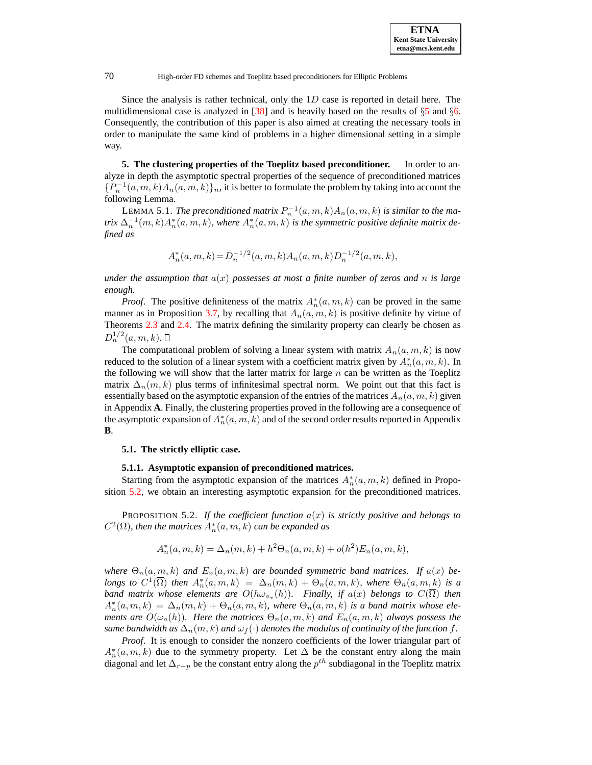Since the analysis is rather technical, only the  $1D$  case is reported in detail here. The multidimensional case is analyzed in  $[38]$  and is heavily based on the results of  $\S5$  $\S5$  and  $\S6$ . Consequently, the contribution of this paper is also aimed at creating the necessary tools in order to manipulate the same kind of problems in a higher dimensional setting in a simple way.

<span id="page-15-0"></span>**5. The clustering properties of the Toeplitz based preconditioner.** In order to analyze in depth the asymptotic spectral properties of the sequence of preconditioned matrices  ${P_n^{-1}(a, m, k)A_n(a, m, k)}_n$ , it is better to formulate the problem by taking into account the following Lemma.

LEMMA 5.1. *The preconditioned matrix*  $P_n^{-1}(a, m, k)A_n(a, m, k)$  *is similar to the ma*trix  $\Delta_n^{-1}(m, k) A_n^*(a, m, k)$ , where  $A_n^*(a, m, k)$  is the symmetric positive definite matrix de*fined as*

$$
A_n^*(a, m, k) = D_n^{-1/2}(a, m, k) A_n(a, m, k) D_n^{-1/2}(a, m, k),
$$

*under* the assumption that  $a(x)$  possesses at most a finite number of zeros and n is large *enough.*

*Proof.* The positive definiteness of the matrix  $A_n^*(a, m, k)$  can be proved in the same manner as in Proposition [3.7,](#page-7-1) by recalling that  $A_n(a, m, k)$  is positive definite by virtue of Theorems [2.3](#page-4-2) and [2.4.](#page-4-3) The matrix defining the similarity property can clearly be chosen as  $D_n^{1/2}(a,m,k).$ 

The computational problem of solving a linear system with matrix  $A_n(a, m, k)$  is now reduced to the solution of a linear system with a coefficient matrix given by  $A_n^*(a, m, k)$ . In the following we will show that the latter matrix for large  $n$  can be written as the Toeplitz matrix  $\Delta_n(m, k)$  plus terms of infinitesimal spectral norm. We point out that this fact is essentially based on the asymptotic expansion of the entries of the matrices  $A_n(a, m, k)$  given in Appendix **A**. Finally, the clustering properties proved in the following are a consequence of the asymptotic expansion of  $A_n^*(a, m, k)$  and of the second order results reported in Appendix **B**.

## **5.1. The strictly elliptic case.**

### **5.1.1. Asymptotic expansion of preconditioned matrices.**

Starting from the asymptotic expansion of the matrices  $A_n^*(a, m, k)$  defined in Proposition [5.2,](#page-15-1) we obtain an interesting asymptotic expansion for the preconditioned matrices.

<span id="page-15-1"></span>**PROPOSITION 5.2.** If the coefficient function  $a(x)$  is strictly positive and belongs to  $C^2(\overline{\Omega})$ , then the matrices  $A_n^*(a, m, k)$  can be expanded as

$$
A_n^*(a, m, k) = \Delta_n(m, k) + h^2 \Theta_n(a, m, k) + o(h^2) E_n(a, m, k),
$$

*where*  $\Theta_n(a, m, k)$  *and*  $E_n(a, m, k)$  *are bounded symmetric band matrices.* If  $a(x)$  *belongs to*  $C^1(\overline{\Omega})$  *then*  $A_n^*(a, m, k) = \Delta_n(m, k) + \Theta_n(a, m, k)$ , where  $\Theta_n(a, m, k)$  *is a band* matrix whose elements are  $O(h\omega_{a_x}(h))$ . Finally, if  $a(x)$  belongs to  $C(\overline{\Omega})$  then  $A_n^*(a, m, k) = \Delta_n(m, k) + \Theta_n(a, m, k)$ , where  $\Theta_n(a, m, k)$  *is a band matrix whose elements* are  $O(\omega_a(h))$ *. Here the matrices*  $\Theta_n(a,m,k)$  *and*  $E_n(a,m,k)$  *always possess the same* bandwidth as  $\Delta_n(m, k)$  and  $\omega_f(\cdot)$  denotes the modulus of continuity of the function f.

*Proof.* It is enough to consider the nonzero coefficients of the lower triangular part of  $A_n^*(a, m, k)$  due to the symmetry property. Let  $\Delta$  be the constant entry along the main diagonal and let  $\Delta_{r-p}$  be the constant entry along the  $p^{th}$  subdiagonal in the Toeplitz matrix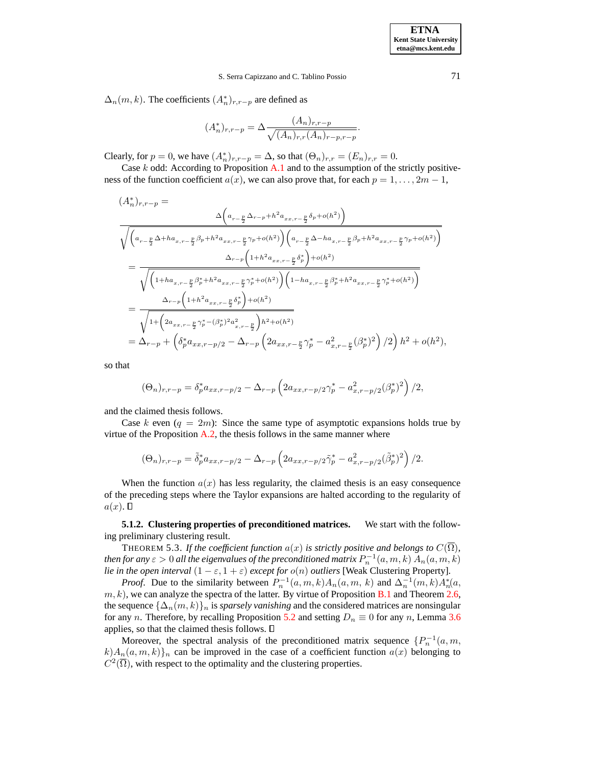$\Delta_n(m, k)$ . The coefficients  $(A_n^*)_{r,r-p}$  are defined as

$$
(A_n^*)_{r,r-p} = \Delta \frac{(A_n)_{r,r-p}}{\sqrt{(A_n)_{r,r}(A_n)_{r-p,r-p}}}.
$$

Clearly, for  $p = 0$ , we have  $(A_n^*)_{r,r-p} = \Delta$ , so that  $(\Theta_n)_{r,r} = (E_n)_{r,r} = 0$ .

Case k odd: According to Proposition [A.1](#page-24-0) and to the assumption of the strictly positiveness of the function coefficient  $a(x)$ , we can also prove that, for each  $p = 1, \ldots, 2m - 1$ ,

$$
(A_n^*)_{r,r-p} = \frac{\Delta \left(a_{r-\frac{p}{2}} \Delta_{r-p} + h^2 a_{xx,r-\frac{p}{2}} \delta_p + o(h^2)\right)}{\sqrt{\left(a_{r-\frac{p}{2}} \Delta + ha_{x,r-\frac{p}{2}} \beta_p + h^2 a_{xx,r-\frac{p}{2}} \gamma_p + o(h^2)\right) \left(a_{r-\frac{p}{2}} \Delta - ha_{x,r-\frac{p}{2}} \beta_p + h^2 a_{xx,r-\frac{p}{2}} \gamma_p + o(h^2)\right)}}
$$
\n
$$
= \frac{\Delta_{r-p} \left(1 + h^2 a_{xx,r-\frac{p}{2}} \delta_p^*\right) + o(h^2)}{\sqrt{\left(1 + ha_{x,r-\frac{p}{2}} \beta_p^* + h^2 a_{xx,r-\frac{p}{2}} \gamma_p^* + o(h^2)\right) \left(1 - ha_{x,r-\frac{p}{2}} \beta_p^* + h^2 a_{xx,r-\frac{p}{2}} \gamma_p^* + o(h^2)\right)}}
$$
\n
$$
= \frac{\Delta_{r-p} \left(1 + h^2 a_{xx,r-\frac{p}{2}} \delta_p^*\right) + o(h^2)}{\sqrt{1 + \left(2a_{xx,r-\frac{p}{2}} \gamma_p^* - (\beta_p^*)^2 a_{x,r-\frac{p}{2}}^2\right)h^2 + o(h^2)}}
$$
\n
$$
= \Delta_{r-p} + \left(\delta_p^* a_{xx,r-p/2} - \Delta_{r-p} \left(2a_{xx,r-\frac{p}{2}} \gamma_p^* - a_{x,r-\frac{p}{2}}^2 (\beta_p^*)^2\right)/2\right)h^2 + o(h^2),
$$

so that

$$
(\Theta_n)_{r,r-p} = \delta_p^* a_{xx,r-p/2} - \Delta_{r-p} \left( 2a_{xx,r-p/2} \gamma_p^* - a_{x,r-p/2}^2 (\beta_p^*)^2 \right) / 2,
$$

and the claimed thesis follows.

Case k even  $(q = 2m)$ : Since the same type of asymptotic expansions holds true by virtue of the Proposition  $A.2$ , the thesis follows in the same manner where

$$
(\Theta_n)_{r,r-p} = \tilde{\delta}_p^* a_{xx,r-p/2} - \Delta_{r-p} \left( 2a_{xx,r-p/2} \tilde{\gamma}_p^* - a_{x,r-p/2}^2 (\tilde{\beta}_p^*)^2 \right) / 2.
$$

When the function  $a(x)$  has less regularity, the claimed thesis is an easy consequence of the preceding steps where the Taylor expansions are halted according to the regularity of  $a(x)$ .  $\square$ 

<span id="page-16-0"></span>**5.1.2. Clustering properties of preconditioned matrices.** We start with the following preliminary clustering result.

THEOREM 5.3. If the coefficient function  $a(x)$  is strictly positive and belongs to  $C(\overline{\Omega})$ ,  $t$ hen $f$ or any  $\varepsilon > 0$  all the eigenvalues of the preconditioned matrix  $P_n^{-1}(a, m, k)$   $A_n(a, m, k)$ *lie in the open interval*  $(1 - \varepsilon, 1 + \varepsilon)$  *except for*  $o(n)$  *outliers* [Weak Clustering Property].

*Proof.* Due to the similarity between  $P_n^{-1}(a, m, k)A_n(a, m, k)$  and  $\Delta_n^{-1}(m, k)A_n^{*}(a, k)A_n^{*}(a, m, k)$  $m, k$ ), we can analyze the spectra of the latter. By virtue of Proposition [B.1](#page-27-0) and Theorem [2.6,](#page-5-3) the sequence  $\{\Delta_n(m, k)\}\$ <sub>n</sub> is *sparsely vanishing* and the considered matrices are nonsingular for any n. Therefore, by recalling Proposition [5.2](#page-15-1) and setting  $D_n \equiv 0$  for any n, Lemma [3.6](#page-6-1) applies, so that the claimed thesis follows.  $\Box$ 

<span id="page-16-1"></span>Moreover, the spectral analysis of the preconditioned matrix sequence  $\{P_n^{-1}(a, m, \ldots)\}$  $k$ ,  $A_n(a, m, k)$ <sub>n</sub> can be improved in the case of a coefficient function  $a(x)$  belonging to  $C^2(\overline{\Omega})$ , with respect to the optimality and the clustering properties.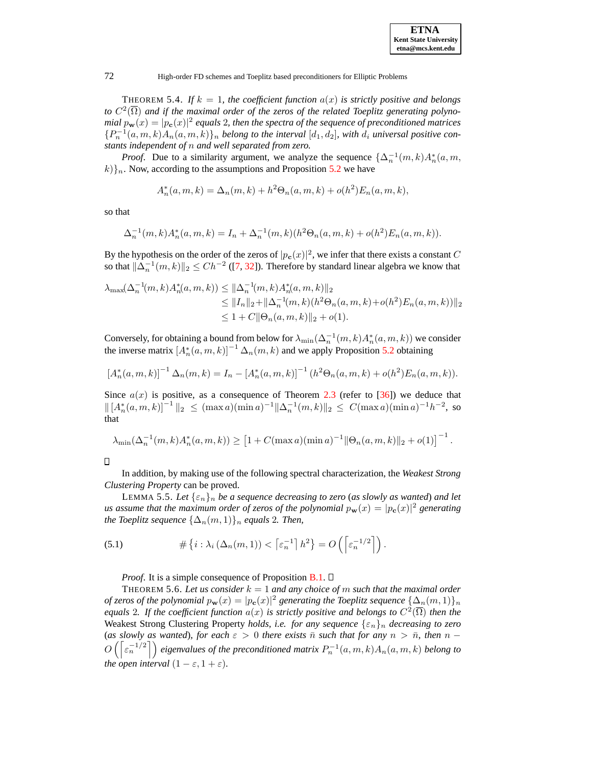| <b>ETNA</b>                  |
|------------------------------|
| <b>Kent State University</b> |
| etna@mcs.kent.edu            |

THEOREM 5.4. *If*  $k = 1$ *, the coefficient function*  $a(x)$  *is strictly positive and belongs*  $\sigma$   $C^2(\overline{\Omega})$  and if the maximal order of the zeros of the related Toeplitz generating polyno $m$ ial  $p_{\bf w}(x) = |p_{\bf c}(x)|^2$  equals 2, then the spectra of the sequence of preconditioned matrices  ${P_n^{-1}(a, m, k)A_n(a, m, k)}_n$  *belong to the interval*  $[d_1, d_2]$ *, with*  $d_i$  *universal positive constants independent of* n *and well separated from zero.*

*Proof.* Due to a similarity argument, we analyze the sequence  $\{\Delta_n^{-1}(m, k)A_n^*(a, m, k)\}$  $k$ ) $\}$ <sub>n</sub>. Now, according to the assumptions and Proposition [5.2](#page-15-1) we have

$$
A_n^*(a, m, k) = \Delta_n(m, k) + h^2 \Theta_n(a, m, k) + o(h^2) E_n(a, m, k),
$$

so that

$$
\Delta_n^{-1}(m,k)A_n^*(a,m,k) = I_n + \Delta_n^{-1}(m,k)(h^2\Theta_n(a,m,k) + o(h^2)E_n(a,m,k)).
$$

By the hypothesis on the order of the zeros of  $|p_c(x)|^2$ , we infer that there exists a constant C so that  $\|\Delta_n^{-1}(m,k)\|_2 \leq Ch^{-2}$  ([\[7,](#page-28-6) [32\]](#page-29-24)). Therefore by standard linear algebra we know that

$$
\lambda_{\max}(\Delta_n^{-1}(m,k)A_n^*(a,m,k)) \leq \|\Delta_n^{-1}(m,k)A_n^*(a,m,k)\|_2
$$
  
\n
$$
\leq \|I_n\|_2 + \|\Delta_n^{-1}(m,k)(h^2\Theta_n(a,m,k) + o(h^2)E_n(a,m,k))\|_2
$$
  
\n
$$
\leq 1 + C\|\Theta_n(a,m,k)\|_2 + o(1).
$$

Conversely, for obtaining a bound from below for  $\lambda_{\min}(\Delta_n^{-1}(m,k)A_n^*(a,m,k))$  we consider the inverse matrix  $[A_n^*(a, m, k)]^{-1} \Delta_n(m, k)$  and we apply Proposition [5.2](#page-15-1) obtaining

$$
[A_n^*(a, m, k)]^{-1} \Delta_n(m, k) = I_n - [A_n^*(a, m, k)]^{-1} (h^2 \Theta_n(a, m, k) + o(h^2) E_n(a, m, k)).
$$

Since  $a(x)$  is positive, as a consequence of Theorem [2.3](#page-4-2) (refer to [\[36\]](#page-29-8)) we deduce that  $\| [A_n^*(a, m, k)]^{-1} \|_2 \leq (\max a)(\min a)^{-1} \|\Delta_n^{-1}(m, k)\|_2 \leq C(\max a)(\min a)^{-1}h^{-2}$ , so that

$$
\lambda_{\min}(\Delta_n^{-1}(m,k)A_n^*(a,m,k)) \ge \left[1 + C(\max a)(\min a)^{-1} \|\Theta_n(a,m,k)\|_2 + o(1)\right]^{-1}.
$$

 $\Box$ 

In addition, by making use of the following spectral characterization, the *Weakest Strong Clustering Property* can be proved.

LEMMA 5.5. Let  $\{\varepsilon_n\}_n$  *be a sequence decreasing to zero* (*as slowly as wanted*) *and let*  $\mu$  *assume that the maximum order of zeros of the polynomial*  $p_{\bf w}(x) = |p_{\bf c}(x)|^2$  *generating the Toeplitz sequence*  $\{\Delta_n(m, 1)\}_n$  *equals* 2*. Then,* 

(5.1) 
$$
\#\left\{i:\lambda_i\left(\Delta_n(m,1)\right)<\left\lceil \varepsilon_n^{-1}\right\rceil h^2\right\}=O\left(\left\lceil \varepsilon_n^{-1/2}\right\rceil\right).
$$

<span id="page-17-0"></span>*Proof.* It is a simple consequence of Proposition  $B.1$ .  $\Box$ 

THEOREM 5.6. Let us consider  $k = 1$  and any choice of m such that the maximal order *of zeros of the polynomial*  $p_{\bf w}(x) = |p_{\bf c}(x)|^2$  generating the Toeplitz sequence  $\{\Delta_n(m,1)\}_n$  $e$ quals 2. If the coefficient function  $a(x)$  is strictly positive and belongs to  $C^2(\overline{\Omega})$  then the Weakest Strong Clustering Property *holds, i.e. for any sequence*  $\{\varepsilon_n\}_n$  *decreasing to zero* (*as slowly as wanted*)*, for each*  $\varepsilon > 0$  *there exists*  $\bar{n}$  *such that for any*  $n > \bar{n}$ *, then*  $n O\left(\left[\epsilon_n^{-1/2}\right]\right)$  eigenvalues of the preconditioned matrix  $P_n^{-1}(a,m,k)A_n(a,m,k)$  belong to *the open interval*  $(1 - \varepsilon, 1 + \varepsilon)$ *.*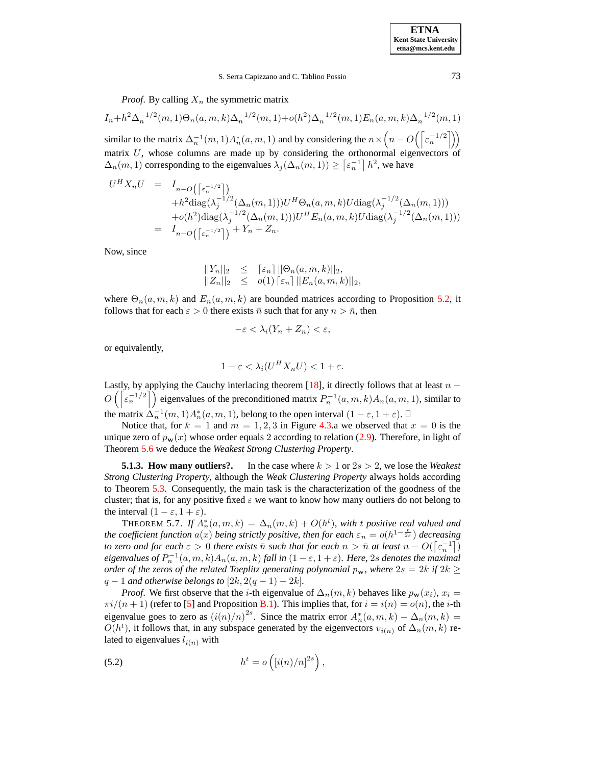*Proof.* By calling  $X_n$  the symmetric matrix

$$
I_n + h^2 \Delta_n^{-1/2}(m, 1) \Theta_n(a, m, k) \Delta_n^{-1/2}(m, 1) + o(h^2) \Delta_n^{-1/2}(m, 1) E_n(a, m, k) \Delta_n^{-1/2}(m, 1)
$$
  
similar to the matrix  $\Delta_n^{-1}(m, 1) A_n^*(a, m, 1)$  and by considering the  $n \times \left(n - O\left(\left[\epsilon_n^{-1/2}\right]\right)\right)$   
matrix U, whose columns are made up by considering the orthonormal eigenvectors of  $\Delta_n(m, 1)$  corresponding to the eigenvalues  $\lambda_j(\Delta_n(m, 1)) \ge \left[\epsilon_n^{-1}\right] h^2$ , we have

$$
U^{H}X_{n}U = I_{n-O\left(\left[\epsilon_{n}^{-1/2}\right]\right)} + h^{2}\text{diag}(\lambda_{j}^{-1/2}(\Delta_{n}(m,1)))U^{H}\Theta_{n}(a,m,k)U\text{diag}(\lambda_{j}^{-1/2}(\Delta_{n}(m,1))) + o(h^{2})\text{diag}(\lambda_{j}^{-1/2}(\Delta_{n}(m,1)))U^{H}E_{n}(a,m,k)U\text{diag}(\lambda_{j}^{-1/2}(\Delta_{n}(m,1)))
$$
  
=  $I_{n-O\left(\left[\epsilon_{n}^{-1/2}\right]\right)} + Y_{n} + Z_{n}.$ 

Now, since

$$
||Y_n||_2 \leq [\varepsilon_n] ||\Theta_n(a, m, k)||_2, ||Z_n||_2 \leq o(1) [\varepsilon_n] ||E_n(a, m, k)||_2,
$$

where  $\Theta_n(a, m, k)$  and  $E_n(a, m, k)$  are bounded matrices according to Proposition [5.2,](#page-15-1) it follows that for each  $\varepsilon > 0$  there exists  $\bar{n}$  such that for any  $n > \bar{n}$ , then

$$
-\varepsilon < \lambda_i (Y_n + Z_n) < \varepsilon,
$$

or equivalently,

$$
1 - \varepsilon < \lambda_i(U^H X_n U) < 1 + \varepsilon.
$$

Lastly, by applying the Cauchy interlacing theorem [\[18\]](#page-29-25), it directly follows that at least  $n O\left(\left\lceil \varepsilon_n^{-1/2} \right\rceil\right)$  eigenvalues of the preconditioned matrix  $P_n^{-1}(a, m, k) A_n(a, m, 1)$ , similar to the matrix  $\Delta_n^{-1}(m,1)A_n^*(a,m,1)$ , belong to the open interval  $(1-\varepsilon,1+\varepsilon)$ .

Notice that, for  $k = 1$  and  $m = 1, 2, 3$  in Figure [4.3.](#page-12-1)a we observed that  $x = 0$  is the unique zero of  $p_w(x)$  whose order equals 2 according to relation [\(2.9\)](#page-5-2). Therefore, in light of Theorem [5.6](#page-17-0) we deduce the *Weakest Strong Clustering Property*.

**5.1.3. How many outliers?.** In the case where  $k > 1$  or  $2s > 2$ , we lose the *Weakest Strong Clustering Property*, although the *Weak Clustering Property* always holds according to Theorem [5.3.](#page-16-0) Consequently, the main task is the characterization of the goodness of the cluster; that is, for any positive fixed  $\varepsilon$  we want to know how many outliers do not belong to the interval  $(1 - \varepsilon, 1 + \varepsilon)$ .

<span id="page-18-1"></span>THEOREM 5.7. If  $A_n^*(a, m, k) = \Delta_n(m, k) + O(h^t)$ , with t positive real valued and *the coefficient function*  $a(x)$  *being strictly positive, then for each*  $\varepsilon_n = o(h^{1-\frac{t}{2s}})$  *decreasing to zero* and for each  $\varepsilon > 0$  there exists  $\bar{n}$  such that for each  $n > \bar{n}$  at least  $n - O(\lceil \varepsilon_n^{-1} \rceil)$  $eigenvalues$  *of*  $P_n^{-1}(a, m, k)A_n(a, m, k)$  *fall in*  $(1 - \varepsilon, 1 + \varepsilon)$ *. Here, 2s denotes the maximal order of* the zeros of the related Toeplitz generating polynomial  $p_w$ , where  $2s = 2k$  *if*  $2k \geq$  $q-1$  *and otherwise belongs to*  $[2k, 2(q-1)-2k]$ *.* 

*Proof.* We first observe that the *i*-th eigenvalue of  $\Delta_n(m, k)$  behaves like  $p_{\bf{w}}(x_i)$ ,  $x_i =$  $\pi i/(n+1)$  (refer to [\[5\]](#page-28-7) and Proposition [B.1\)](#page-27-0). This implies that, for  $i = i(n) = o(n)$ , the *i*-th eigenvalue goes to zero as  $(i(n)/n)^{2s}$ . Since the matrix error  $A_n^*(a, m, k) - \Delta_n(m, k) =$  $O(h^t)$ , it follows that, in any subspace generated by the eigenvectors  $v_{i(n)}$  of  $\Delta_n(m, k)$  related to eigenvalues  $l_{i(n)}$  with

<span id="page-18-0"></span>(5.2) 
$$
h^t = o\left([i(n)/n]^{2s}\right),
$$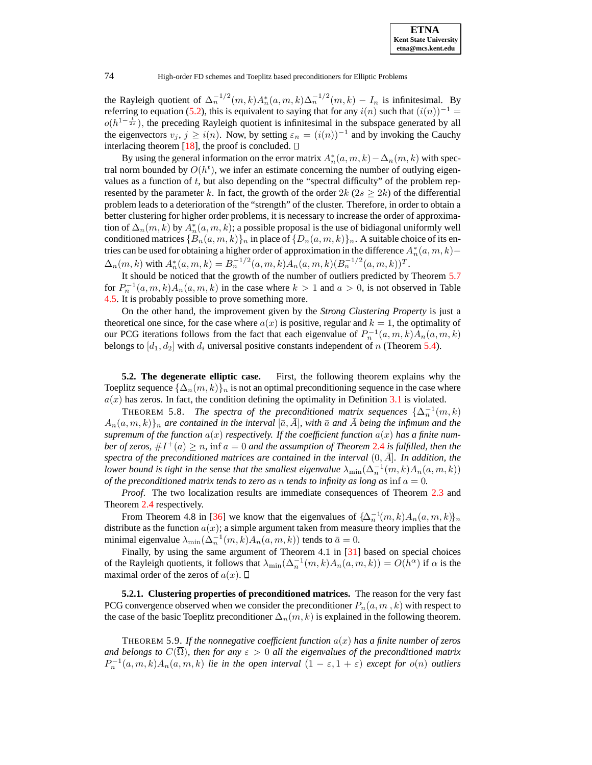the Rayleigh quotient of  $\Delta_n^{-1/2}(m,k)A_n^*(a,m,k)\Delta_n^{-1/2}(m,k) - I_n$  is infinitesimal. By referring to equation [\(5.2\)](#page-18-0), this is equivalent to saying that for any  $i(n)$  such that  $(i(n))^{-1}$  =  $o(h^{1-\frac{t}{2s}})$ , the preceding Rayleigh quotient is infinitesimal in the subspace generated by all the eigenvectors  $v_j$ ,  $j \ge i(n)$ . Now, by setting  $\varepsilon_n = (i(n))^{-1}$  and by invoking the Cauchy interlacing theorem [\[18\]](#page-29-25), the proof is concluded.  $\square$ 

By using the general information on the error matrix  $A_n^*(a, m, k) - \Delta_n(m, k)$  with spectral norm bounded by  $O(h^t)$ , we infer an estimate concerning the number of outlying eigenvalues as a function of  $t$ , but also depending on the "spectral difficulty" of the problem represented by the parameter k. In fact, the growth of the order  $2k$  ( $2s \geq 2k$ ) of the differential problem leads to a deterioration of the "strength" of the cluster. Therefore, in order to obtain a better clustering for higher order problems, it is necessary to increase the order of approximation of  $\Delta_n(m, k)$  by  $A_n^*(a, m, k)$ ; a possible proposal is the use of bidiagonal uniformly well conditioned matrices  ${B_n(a, m, k)}_n$  in place of  ${D_n(a, m, k)}_n$ . A suitable choice of its entries can be used for obtaining a higher order of approximation in the difference  $A_n^*(a, m, k) \Delta_n(m,k)$  with  $A_n^*(a,m,k) = B_n^{-1/2}(a,m,k)A_n(a,m,k)(B_n^{-1/2}(a,m,k))^T$ .

It should be noticed that the growth of the number of outliers predicted by Theorem [5.7](#page-18-1) for  $P_n^{-1}(a, m, k)A_n(a, m, k)$  in the case where  $k > 1$  and  $a > 0$ , is not observed in Table [4.5.](#page-11-0) It is probably possible to prove something more.

On the other hand, the improvement given by the *Strong Clustering Property* is just a theoretical one since, for the case where  $a(x)$  is positive, regular and  $k = 1$ , the optimality of our PCG iterations follows from the fact that each eigenvalue of  $P_n^{-1}(a, m, k)A_n(a, m, k)$ belongs to  $[d_1, d_2]$  with  $d_i$  universal positive constants independent of n (Theorem [5.4\)](#page-16-1).

**5.2. The degenerate elliptic case.** First, the following theorem explains why the Toeplitz sequence  $\{\Delta_n(m, k)\}_n$  is not an optimal preconditioning sequence in the case where  $a(x)$  has zeros. In fact, the condition defining the optimality in Definition [3.1](#page-5-1) is violated.

**THEOREM 5.8.** *The spectra of the preconditioned matrix sequences*  $\{\Delta_n^{-1}(m, k)\}$  $A_n(a, m, k)$ <sub>n</sub> are contained in the interval [ $\bar{a}$ , A], with  $\bar{a}$  and A being the infimum and the supremum of the function  $a(x)$  respectively. If the coefficient function  $a(x)$  has a finite num*ber* of *zeros,*  $\#I^+(a) \geq n$ ,  $\inf a = 0$  *and the assumption of Theorem* [2.4](#page-4-3) *is fulfilled, then the* spectra of the preconditioned matrices are contained in the interval  $(0, \overline{A}]$ *. In addition, the lower bound is tight in the sense that the smallest eigenvalue*  $\lambda_{\min}(\Delta_n^{-1}(m, k)A_n(a, m, k))$ *of the preconditioned matrix tends to zero as* n *tends to infinity as long as* inf a = 0*.*

*Proof*. The two localization results are immediate consequences of Theorem [2.3](#page-4-2) and Theorem [2.4](#page-4-3) respectively.

From Theorem 4.8 in [\[36\]](#page-29-8) we know that the eigenvalues of  $\{\Delta_n^{-1}(m, k)A_n(a, m, k)\}_n$ distribute as the function  $a(x)$ ; a simple argument taken from measure theory implies that the minimal eigenvalue  $\lambda_{\min}(\Delta_n^{-1}(m,k)A_n(a,m,k))$  tends to  $\bar{a}=0$ .

Finally, by using the same argument of Theorem 4.1 in [\[31\]](#page-29-4) based on special choices of the Rayleigh quotients, it follows that  $\lambda_{\min}(\Delta_n^{-1}(m,k)A_n(a,m,k)) = O(h^{\alpha})$  if  $\alpha$  is the maximal order of the zeros of  $a(x)$ .  $\square$ 

**5.2.1. Clustering properties of preconditioned matrices.** The reason for the very fast PCG convergence observed when we consider the preconditioner  $P_n(a, m, k)$  with respect to the case of the basic Toeplitz preconditioner  $\Delta_n(m, k)$  is explained in the following theorem.

<span id="page-19-0"></span>THEOREM 5.9. If the nonnegative coefficient function  $a(x)$  has a finite number of zeros *and belongs to*  $C(\overline{\Omega})$ *, then for any*  $\varepsilon > 0$  *all the eigenvalues of the preconditioned matrix*  $P_n^{-1}(a, m, k)A_n(a, m, k)$  *lie in the open interval*  $(1 - \varepsilon, 1 + \varepsilon)$  *except for*  $o(n)$  *outliers*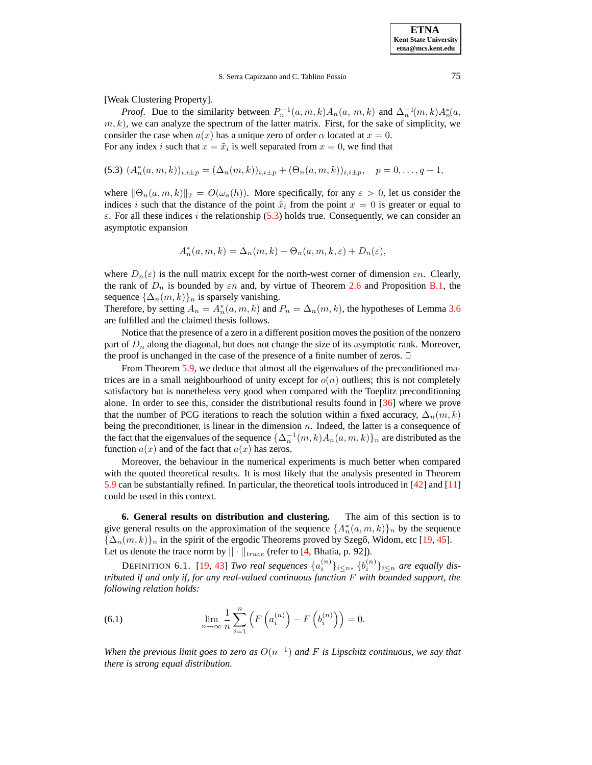[Weak Clustering Property]*.*

*Proof.* Due to the similarity between  $P_n^{-1}(a, m, k)A_n(a, m, k)$  and  $\Delta_n^{-1}(m, k)A_n^{*}(a, k)A_n^{*}(a, k)$  $(m, k)$ , we can analyze the spectrum of the latter matrix. First, for the sake of simplicity, we consider the case when  $a(x)$  has a unique zero of order  $\alpha$  located at  $x = 0$ . For any index *i* such that  $x = \tilde{x}_i$  is well separated from  $x = 0$ , we find that

<span id="page-20-1"></span>
$$
(5.3) \ (A_n^*(a,m,k))_{i,i \pm p} = (\Delta_n(m,k))_{i,i \pm p} + (\Theta_n(a,m,k))_{i,i \pm p}, \quad p = 0, \ldots, q-1,
$$

where  $\|\Theta_n(a, m, k)\|_2 = O(\omega_a(h))$ . More specifically, for any  $\varepsilon > 0$ , let us consider the indices i such that the distance of the point  $\tilde{x}_i$  from the point  $x = 0$  is greater or equal to  $\varepsilon$ . For all these indices i the relationship [\(5.3\)](#page-20-1) holds true. Consequently, we can consider an asymptotic expansion

$$
A_n^*(a, m, k) = \Delta_n(m, k) + \Theta_n(a, m, k, \varepsilon) + D_n(\varepsilon),
$$

where  $D_n(\varepsilon)$  is the null matrix except for the north-west corner of dimension  $\varepsilon n$ . Clearly, the rank of  $D_n$  is bounded by  $\varepsilon n$  and, by virtue of Theorem [2.6](#page-5-3) and Proposition [B.1,](#page-27-0) the sequence  $\{\Delta_n(m,k)\}_n$  is sparsely vanishing.

Therefore, by setting  $A_n = A_n^*(a, m, k)$  and  $P_n = \Delta_n(m, k)$ , the hypotheses of Lemma [3.6](#page-6-1) are fulfilled and the claimed thesis follows.

Notice that the presence of a zero in a different position moves the position of the nonzero part of  $D_n$  along the diagonal, but does not change the size of its asymptotic rank. Moreover, the proof is unchanged in the case of the presence of a finite number of zeros.

From Theorem [5.9,](#page-19-0) we deduce that almost all the eigenvalues of the preconditioned matrices are in a small neighbourhood of unity except for  $o(n)$  outliers; this is not completely satisfactory but is nonetheless very good when compared with the Toeplitz preconditioning alone. In order to see this, consider the distributional results found in [\[36\]](#page-29-8) where we prove that the number of PCG iterations to reach the solution within a fixed accuracy,  $\Delta_n(m, k)$ being the preconditioner, is linear in the dimension  $n$ . Indeed, the latter is a consequence of the fact that the eigenvalues of the sequence  $\{\Delta_n^{-1}(m,k)A_n(a,m,k)\}_n$  are distributed as the function  $a(x)$  and of the fact that  $a(x)$  has zeros.

Moreover, the behaviour in the numerical experiments is much better when compared with the quoted theoretical results. It is most likely that the analysis presented in Theorem [5.9](#page-19-0) can be substantially refined. In particular, the theoretical tools introduced in [\[42\]](#page-29-18) and [\[11\]](#page-28-8) could be used in this context.

<span id="page-20-0"></span>**6. General results on distribution and clustering.** The aim of this section is to give general results on the approximation of the sequence  $\{A_n^*(a, m, k)\}_n$  by the sequence  ${\{\Delta_n(m,k)\}}_n$  in the spirit of the ergodic Theorems proved by Szegő, Widom, etc [\[19,](#page-29-9) [45\]](#page-29-10). Let us denote the trace norm by  $|| \cdot ||_{trace}$  (refer to [\[4,](#page-28-4) Bhatia, p. 92]).

DEFINITION 6.1. [\[19,](#page-29-9) [43\]](#page-29-6) *Two real sequences*  $\{a_i^{(n)}\}_{i\leq n}$ ,  $\{b_i^{(n)}\}_{i\leq n}$  are equally dis*tributed if and only if, for any real-valued continuous function* F *with bounded support, the following relation holds:*

(6.1) 
$$
\lim_{n \to \infty} \frac{1}{n} \sum_{i=1}^{n} \left( F\left( a_i^{(n)} \right) - F\left( b_i^{(n)} \right) \right) = 0.
$$

<span id="page-20-2"></span>*When the previous limit goes to zero as*  $O(n^{-1})$  *and*  $F$  *is Lipschitz continuous, we say that there is strong equal distribution.*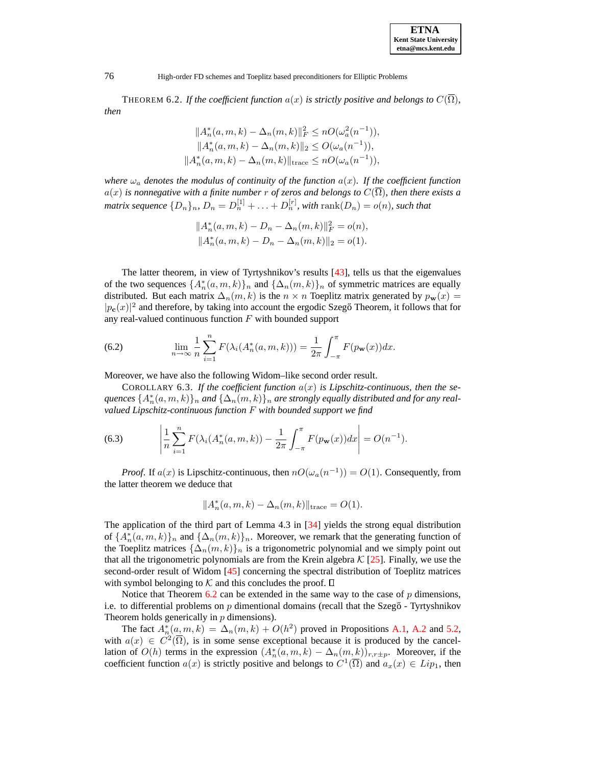THEOREM 6.2. *If the coefficient function*  $a(x)$  *is strictly positive and belongs to*  $C(\overline{\Omega})$ *, then*

$$
||A_n^*(a, m, k) - \Delta_n(m, k)||_F^2 \le nO(\omega_a^2(n^{-1})),
$$
  
\n
$$
||A_n^*(a, m, k) - \Delta_n(m, k)||_2 \le O(\omega_a(n^{-1})),
$$
  
\n
$$
||A_n^*(a, m, k) - \Delta_n(m, k)||_{\text{trace}} \le nO(\omega_a(n^{-1})),
$$

*where*  $\omega_a$  *denotes the modulus of continuity of the function*  $a(x)$ *. If the coefficient function*  $a(x)$  *is nonnegative with a finite number r of zeros and belongs to*  $C(\overline{\Omega})$ *, then there exists a* matrix sequence  $\{D_n\}_n$ ,  $D_n = D_n^{[1]} + \ldots + D_n^{[r]},$  with  $\mathrm{rank}(D_n) = o(n),$  such that

$$
||A_n^*(a, m, k) - D_n - \Delta_n(m, k)||_F^2 = o(n),
$$
  

$$
||A_n^*(a, m, k) - D_n - \Delta_n(m, k)||_2 = o(1).
$$

The latter theorem, in view of Tyrtyshnikov's results [\[43\]](#page-29-6), tells us that the eigenvalues of the two sequences  $\{A_n^*(a, m, k)\}_n$  and  $\{\Delta_n(m, k)\}_n$  of symmetric matrices are equally distributed. But each matrix  $\Delta_n(m, k)$  is the  $n \times n$  Toeplitz matrix generated by  $p_{\bf w}(x) =$  $|p_c(x)|^2$  and therefore, by taking into account the ergodic Szegõ Theorem, it follows that for any real-valued continuous function  $F$  with bounded support

(6.2) 
$$
\lim_{n \to \infty} \frac{1}{n} \sum_{i=1}^{n} F(\lambda_i(A_n^*(a, m, k))) = \frac{1}{2\pi} \int_{-\pi}^{\pi} F(p_{\mathbf{w}}(x)) dx.
$$

Moreover, we have also the following Widom–like second order result.

COROLLARY 6.3. If the coefficient function  $a(x)$  is Lipschitz-continuous, then the se $q$ uences  $\{A_n^*(a, m, k)\}_n$  and  $\{\Delta_n(m, k)\}_n$  are strongly equally distributed and for any real*valued Lipschitz-continuous function* F *with bounded support we find*

(6.3) 
$$
\left| \frac{1}{n} \sum_{i=1}^{n} F(\lambda_i(A_n^*(a, m, k)) - \frac{1}{2\pi} \int_{-\pi}^{\pi} F(p_{\mathbf{w}}(x)) dx \right| = O(n^{-1}).
$$

*Proof.* If  $a(x)$  is Lipschitz-continuous, then  $nO(\omega_a(n^{-1})) = O(1)$ . Consequently, from the latter theorem we deduce that

$$
||A_n^*(a,m,k) - \Delta_n(m,k)||_{\text{trace}} = O(1).
$$

The application of the third part of Lemma 4.3 in [\[34\]](#page-29-5) yields the strong equal distribution of  $\{A_n^*(a, m, k)\}_n$  and  $\{\Delta_n(m, k)\}_n$ . Moreover, we remark that the generating function of the Toeplitz matrices  $\{\Delta_n(m, k)\}_n$  is a trigonometric polynomial and we simply point out that all the trigonometric polynomials are from the Krein algebra  $K$  [\[25\]](#page-29-26). Finally, we use the second-order result of Widom [\[45\]](#page-29-10) concerning the spectral distribution of Toeplitz matrices with symbol belonging to  $K$  and this concludes the proof.  $\square$ 

Notice that Theorem [6.2](#page-20-2) can be extended in the same way to the case of  $p$  dimensions, i.e. to differential problems on  $p$  dimentional domains (recall that the Szego» - Tyrtyshnikov Theorem holds generically in  $p$  dimensions).

The fact  $A_n^*(a, m, k) = \Delta_n(m, k) + O(h^2)$  proved in Propositions [A.1,](#page-24-0) [A.2](#page-26-0) and [5.2,](#page-15-1) with  $a(x) \in C^2(\overline{\Omega})$ , is in some sense exceptional because it is produced by the cancellation of  $O(h)$  terms in the expression  $(A_n^*(a, m, k) - \Delta_n(m, k))_{r,r \pm p}$ . Moreover, if the coefficient function  $a(x)$  is strictly positive and belongs to  $C^1(\overline{\Omega})$  and  $a_x(x) \in Lip_1$ , then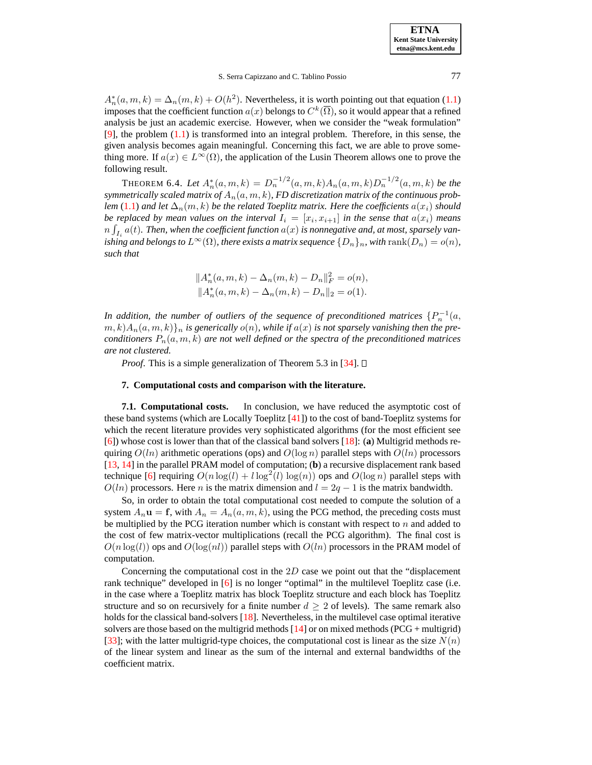$A_n^*(a, m, k) = \Delta_n(m, k) + O(h^2)$ . Nevertheless, it is worth pointing out that equation [\(1.1\)](#page-1-0) imposes that the coefficient function  $a(x)$  belongs to  $C^k(\overline{\Omega}),$  so it would appear that a refined analysis be just an academic exercise. However, when we consider the "weak formulation"  $[9]$ , the problem  $(1.1)$  is transformed into an integral problem. Therefore, in this sense, the given analysis becomes again meaningful. Concerning this fact, we are able to prove something more. If  $a(x) \in L^{\infty}(\Omega)$ , the application of the Lusin Theorem allows one to prove the following result.

THEOREM 6.4. Let  $A_n^*(a, m, k) = D_n^{-1/2}(a, m, k)A_n(a, m, k)D_n^{-1/2}(a, m, k)$  be the *symmetrically scaled matrix of*  $A_n(a, m, k)$ *, FD discretization matrix of the continuous problem* [\(1.1\)](#page-1-0) *and let*  $\Delta_n(m, k)$  *be the related Toeplitz matrix. Here the coefficients*  $a(x_i)$  *should be* replaced by mean values on the interval  $I_i = [x_i, x_{i+1}]$  in the sense that  $a(x_i)$  means  $n\int_{I_i} a(t)$ . Then, when the coefficient function  $a(x)$  is nonnegative and, at most, sparsely van*ishing* and *belongs* to  $L^{\infty}(\Omega)$ *, there exists* a matrix sequence  $\{D_n\}_n$ *, with* rank $(D_n) = o(n)$ *, such that*

$$
||A_n^*(a, m, k) - \Delta_n(m, k) - D_n||_F^2 = o(n),
$$
  

$$
||A_n^*(a, m, k) - \Delta_n(m, k) - D_n||_2 = o(1).
$$

In addition, the number of outliers of the sequence of preconditioned matrices  $\{P_n^{-1}(a, \theta)\}$  $\{m, k\}$  $A_n(a, m, k)\}$ <sub>n</sub> is generically  $o(n)$ , while if  $a(x)$  is not sparsely vanishing then the pre*conditioners*  $P_n(a, m, k)$  *are not well defined or the spectra of the preconditioned matrices are not clustered.*

*Proof.* This is a simple generalization of Theorem 5.3 in [\[34\]](#page-29-5).  $\Box$ 

## **7. Computational costs and comparison with the literature.**

<span id="page-22-0"></span>**7.1. Computational costs.** In conclusion, we have reduced the asymptotic cost of these band systems (which are Locally Toeplitz  $[41]$ ) to the cost of band-Toeplitz systems for which the recent literature provides very sophisticated algorithms (for the most efficient see [\[6\]](#page-28-1)) whose cost is lower than that of the classical band solvers [\[18\]](#page-29-25): (**a**) Multigrid methods requiring  $O(ln)$  arithmetic operations (ops) and  $O(log n)$  parallel steps with  $O(ln)$  processors [\[13,](#page-29-11) [14\]](#page-29-27) in the parallel PRAM model of computation; (**b**) a recursive displacement rank based technique [\[6\]](#page-28-1) requiring  $O(n \log(l) + l \log^2(l) \log(n))$  ops and  $O(\log n)$  parallel steps with  $O(ln)$  processors. Here *n* is the matrix dimension and  $l = 2q - 1$  is the matrix bandwidth.

So, in order to obtain the total computational cost needed to compute the solution of a system  $A_n \mathbf{u} = \mathbf{f}$ , with  $A_n = A_n(a, m, k)$ , using the PCG method, the preceding costs must be multiplied by the PCG iteration number which is constant with respect to  $n$  and added to the cost of few matrix-vector multiplications (recall the PCG algorithm). The final cost is  $O(n \log(l))$  ops and  $O(\log(nl))$  parallel steps with  $O(ln)$  processors in the PRAM model of computation.

Concerning the computational cost in the 2D case we point out that the "displacement rank technique" developed in [\[6\]](#page-28-1) is no longer "optimal" in the multilevel Toeplitz case (i.e. in the case where a Toeplitz matrix has block Toeplitz structure and each block has Toeplitz structure and so on recursively for a finite number  $d \geq 2$  of levels). The same remark also holds for the classical band-solvers [\[18\]](#page-29-25). Nevertheless, in the multilevel case optimal iterative solvers are those based on the multigrid methods  $[14]$  or on mixed methods (PCG + multigrid) [\[33\]](#page-29-28); with the latter multigrid-type choices, the computational cost is linear as the size  $N(n)$ of the linear system and linear as the sum of the internal and external bandwidths of the coefficient matrix.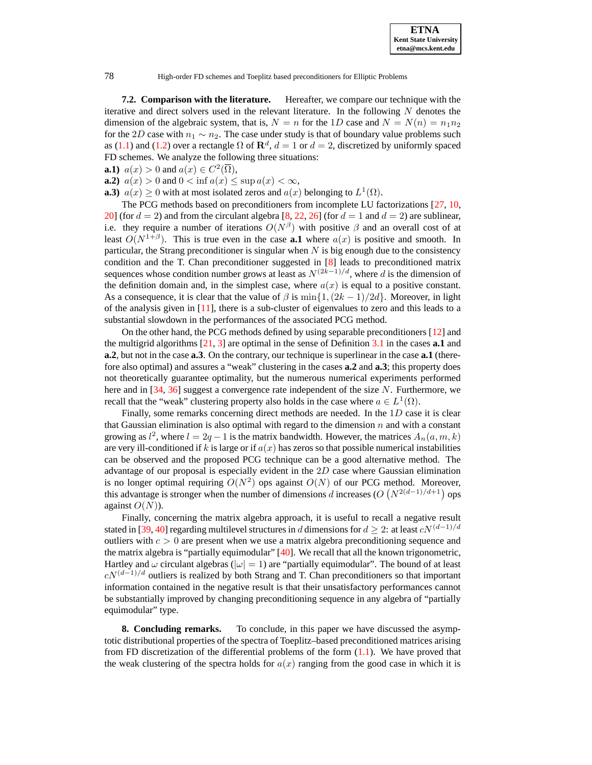**7.2. Comparison with the literature.** Hereafter, we compare our technique with the iterative and direct solvers used in the relevant literature. In the following  $N$  denotes the dimension of the algebraic system, that is,  $N = n$  for the 1D case and  $N = N(n) = n_1 n_2$ for the 2D case with  $n_1 \sim n_2$ . The case under study is that of boundary value problems such as [\(1.1\)](#page-1-0) and [\(1.2\)](#page-1-1) over a rectangle  $\Omega$  of  $\mathbf{R}^d$ ,  $d = 1$  or  $d = 2$ , discretized by uniformly spaced FD schemes. We analyze the following three situations:

**a.1**)  $a(x) > 0$  and  $a(x) \in C^2(\overline{\Omega})$ ,

- **a.2)**  $a(x) > 0$  and  $0 < \inf a(x) \leq \sup a(x) < \infty$ ,
- **a.3**)  $a(x) \ge 0$  with at most isolated zeros and  $a(x)$  belonging to  $L^1(\Omega)$ .

The PCG methods based on preconditioners from incomplete LU factorizations [\[27,](#page-29-14) [10,](#page-28-9) [20\]](#page-29-29) (for  $d = 2$ ) and from the circulant algebra [\[8,](#page-28-3) [22,](#page-29-12) [26\]](#page-29-13) (for  $d = 1$  and  $d = 2$ ) are sublinear, i.e. they require a number of iterations  $O(N^{\beta})$  with positive  $\beta$  and an overall cost of at least  $O(N^{1+\beta})$ . This is true even in the case **a.1** where  $a(x)$  is positive and smooth. In particular, the Strang preconditioner is singular when  $N$  is big enough due to the consistency condition and the T. Chan preconditioner suggested in [\[8\]](#page-28-3) leads to preconditioned matrix sequences whose condition number grows at least as  $N^{(2k-1)/d}$ , where d is the dimension of the definition domain and, in the simplest case, where  $a(x)$  is equal to a positive constant. As a consequence, it is clear that the value of  $\beta$  is  $\min\{1,(2k-1)/2d\}$ . Moreover, in light of the analysis given in  $[11]$ , there is a sub-cluster of eigenvalues to zero and this leads to a substantial slowdown in the performances of the associated PCG method.

On the other hand, the PCG methods defined by using separable preconditioners [\[12\]](#page-29-30) and the multigrid algorithms [\[21,](#page-29-31) [3\]](#page-28-10) are optimal in the sense of Definition [3.1](#page-5-1) in the cases **a.1** and **a.2**, but not in the case **a.3**. On the contrary, our technique is superlinear in the case **a.1** (therefore also optimal) and assures a "weak" clustering in the cases **a.2** and **a.3**; this property does not theoretically guarantee optimality, but the numerous numerical experiments performed here and in [\[34,](#page-29-5) [36\]](#page-29-8) suggest a convergence rate independent of the size N. Furthermore, we recall that the "weak" clustering property also holds in the case where  $a \in L^1(\Omega)$ .

Finally, some remarks concerning direct methods are needed. In the  $1D$  case it is clear that Gaussian elimination is also optimal with regard to the dimension  $n$  and with a constant growing as  $l^2$ , where  $l = 2q - 1$  is the matrix bandwidth. However, the matrices  $A_n(a, m, k)$ are very ill-conditioned if k is large or if  $a(x)$  has zeros so that possible numerical instabilities can be observed and the proposed PCG technique can be a good alternative method. The advantage of our proposal is especially evident in the 2D case where Gaussian elimination is no longer optimal requiring  $O(N^2)$  ops against  $O(N)$  of our PCG method. Moreover, this advantage is stronger when the number of dimensions d increases ( $O(N^{2(d-1)/d+1})$  ops against  $O(N)$ ).

Finally, concerning the matrix algebra approach, it is useful to recall a negative result stated in [\[39,](#page-29-16) [40\]](#page-29-17) regarding multilevel structures in d dimensions for  $d \geq 2$ : at least  $cN^{(d-1)/d}$ outliers with  $c > 0$  are present when we use a matrix algebra preconditioning sequence and the matrix algebra is "partially equimodular" [\[40\]](#page-29-17). We recall that all the known trigonometric, Hartley and  $\omega$  circulant algebras ( $|\omega| = 1$ ) are "partially equimodular". The bound of at least  $cN^{(d-1)/d}$  outliers is realized by both Strang and T. Chan preconditioners so that important information contained in the negative result is that their unsatisfactory performances cannot be substantially improved by changing preconditioning sequence in any algebra of "partially equimodular" type.

<span id="page-23-0"></span>**8. Concluding remarks.** To conclude, in this paper we have discussed the asymptotic distributional properties of the spectra of Toeplitz–based preconditioned matrices arising from FD discretization of the differential problems of the form  $(1.1)$ . We have proved that the weak clustering of the spectra holds for  $a(x)$  ranging from the good case in which it is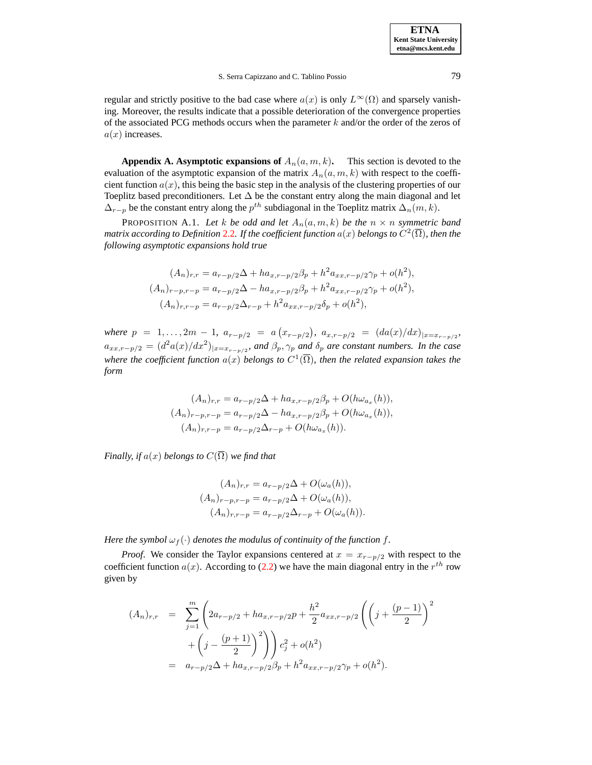regular and strictly positive to the bad case where  $a(x)$  is only  $L^{\infty}(\Omega)$  and sparsely vanishing. Moreover, the results indicate that a possible deterioration of the convergence properties of the associated PCG methods occurs when the parameter  $k$  and/or the order of the zeros of  $a(x)$  increases.

**Appendix A. Asymptotic expansions of**  $A_n(a, m, k)$ **.** This section is devoted to the evaluation of the asymptotic expansion of the matrix  $A_n(a, m, k)$  with respect to the coefficient function  $a(x)$ , this being the basic step in the analysis of the clustering properties of our Toeplitz based preconditioners. Let  $\Delta$  be the constant entry along the main diagonal and let  $\Delta_{r-p}$  be the constant entry along the  $p^{th}$  subdiagonal in the Toeplitz matrix  $\Delta_n(m, k)$ .

PROPOSITION A.1. Let k be odd and let  $A_n(a, m, k)$  be the  $n \times n$  symmetric band *matrix according to Definition [2.2](#page-3-2). If the coefficient function*  $a(x)$  *belongs to*  $C^2(\overline{\Omega})$ *, then the following asymptotic expansions hold true*

<span id="page-24-0"></span>
$$
(A_n)_{r,r} = a_{r-p/2} \Delta + h a_{x,r-p/2} \beta_p + h^2 a_{xx,r-p/2} \gamma_p + o(h^2),
$$
  
\n
$$
(A_n)_{r-p,r-p} = a_{r-p/2} \Delta - h a_{x,r-p/2} \beta_p + h^2 a_{xx,r-p/2} \gamma_p + o(h^2),
$$
  
\n
$$
(A_n)_{r,r-p} = a_{r-p/2} \Delta_{r-p} + h^2 a_{xx,r-p/2} \delta_p + o(h^2),
$$

 $where \, p = 1, \ldots, 2m - 1, \, a_{r-p/2} = a(x_{r-p/2}), \, a_{x,r-p/2} = (da(x)/dx)_{|x=x_{r-p/2}}$  $a_{xx,r-p/2} = (d^2a(x)/dx^2)_{|x=x_{r-p/2}}$ , and  $\beta_p, \gamma_p$  and  $\delta_p$  are constant numbers. In the case where the coefficient function  $a(x)$  belongs to  $C^1(\overline{\Omega})$ , then the related expansion takes the *form*

$$
(A_n)_{r,r} = a_{r-p/2}\Delta + ha_{x,r-p/2}\beta_p + O(h\omega_{a_x}(h)),
$$
  
\n
$$
(A_n)_{r-p,r-p} = a_{r-p/2}\Delta - ha_{x,r-p/2}\beta_p + O(h\omega_{a_x}(h)),
$$
  
\n
$$
(A_n)_{r,r-p} = a_{r-p/2}\Delta_{r-p} + O(h\omega_{a_x}(h)).
$$

*Finally, if*  $a(x)$  *belongs to*  $C(\overline{\Omega})$  *we find that* 

$$
(A_n)_{r,r} = a_{r-p/2} \Delta + O(\omega_a(h)),
$$
  
\n
$$
(A_n)_{r-p,r-p} = a_{r-p/2} \Delta + O(\omega_a(h)),
$$
  
\n
$$
(A_n)_{r,r-p} = a_{r-p/2} \Delta_{r-p} + O(\omega_a(h)).
$$

*Here the symbol*  $\omega_f(\cdot)$  *denotes the modulus of continuity of the function f.* 

*Proof.* We consider the Taylor expansions centered at  $x = x_{r-p/2}$  with respect to the coefficient function  $a(x)$ . According to [\(2.2\)](#page-4-0) we have the main diagonal entry in the  $r^{th}$  row given by

$$
(A_n)_{r,r} = \sum_{j=1}^{m} \left( 2a_{r-p/2} + ha_{x,r-p/2}p + \frac{h^2}{2} a_{xx,r-p/2} \left( \left( j + \frac{(p-1)}{2} \right)^2 + \left( j - \frac{(p+1)}{2} \right)^2 \right) \right) c_j^2 + o(h^2)
$$
  
=  $a_{r-p/2} \Delta + ha_{x,r-p/2} \beta_p + h^2 a_{xx,r-p/2} \gamma_p + o(h^2).$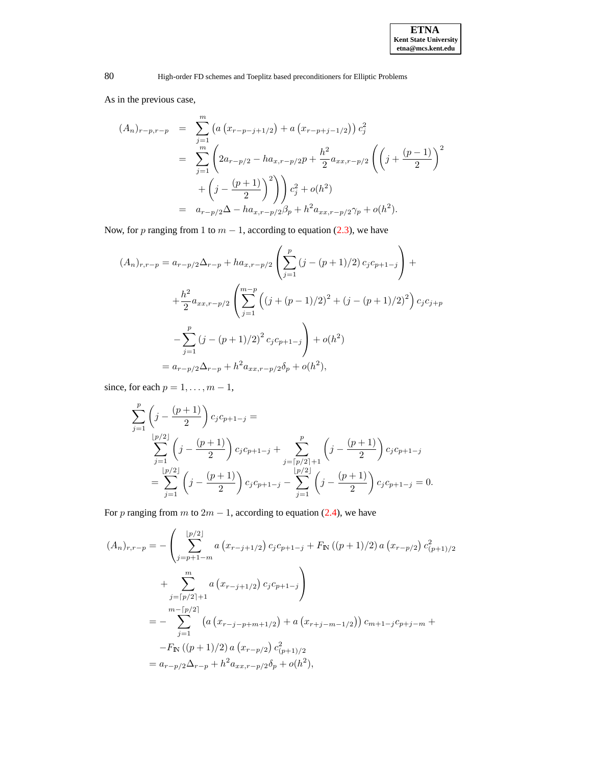As in the previous case,

$$
(A_n)_{r-p,r-p} = \sum_{j=1}^m \left( a \left( x_{r-p-j+1/2} \right) + a \left( x_{r-p+j-1/2} \right) \right) c_j^2
$$
  

$$
= \sum_{j=1}^m \left( 2a_{r-p/2} - ha_{x,r-p/2}p + \frac{h^2}{2} a_{xx,r-p/2} \left( \left( j + \frac{(p-1)}{2} \right)^2 + \left( j - \frac{(p+1)}{2} \right)^2 \right) \right) c_j^2 + o(h^2)
$$
  

$$
= a_{r-p/2} \Delta - ha_{x,r-p/2} \beta_p + h^2 a_{xx,r-p/2} \gamma_p + o(h^2).
$$

Now, for p ranging from 1 to  $m - 1$ , according to equation [\(2.3\)](#page-4-0), we have

$$
(A_n)_{r,r-p} = a_{r-p/2} \Delta_{r-p} + ha_{x,r-p/2} \left( \sum_{j=1}^p (j - (p+1)/2) c_j c_{p+1-j} \right) +
$$
  
+ 
$$
\frac{h^2}{2} a_{xx,r-p/2} \left( \sum_{j=1}^{m-p} \left( (j + (p-1)/2)^2 + (j - (p+1)/2)^2 \right) c_j c_{j+p}
$$
  
- 
$$
\sum_{j=1}^p (j - (p+1)/2)^2 c_j c_{p+1-j} \right) + o(h^2)
$$
  
= 
$$
a_{r-p/2} \Delta_{r-p} + h^2 a_{xx,r-p/2} \delta_p + o(h^2),
$$

since, for each  $p = 1, \ldots, m - 1$ ,

$$
\sum_{j=1}^{p} \left( j - \frac{(p+1)}{2} \right) c_j c_{p+1-j} =
$$
\n
$$
\sum_{j=1}^{\lfloor p/2 \rfloor} \left( j - \frac{(p+1)}{2} \right) c_j c_{p+1-j} + \sum_{j=\lceil p/2 \rceil+1}^{p} \left( j - \frac{(p+1)}{2} \right) c_j c_{p+1-j}
$$
\n
$$
= \sum_{j=1}^{\lfloor p/2 \rfloor} \left( j - \frac{(p+1)}{2} \right) c_j c_{p+1-j} - \sum_{j=1}^{\lfloor p/2 \rfloor} \left( j - \frac{(p+1)}{2} \right) c_j c_{p+1-j} = 0.
$$

For p ranging from m to  $2m - 1$ , according to equation [\(2.4\)](#page-4-0), we have

$$
(A_n)_{r,r-p} = -\left(\sum_{j=p+1-m}^{\lfloor p/2 \rfloor} a\left(x_{r-j+1/2}\right) c_j c_{p+1-j} + F_{\mathbb{N}}\left((p+1)/2\right) a\left(x_{r-p/2}\right) c_{(p+1)/2}
$$

$$
+ \sum_{j=\lceil p/2 \rceil+1}^m a\left(x_{r-j+1/2}\right) c_j c_{p+1-j}
$$

$$
= -\sum_{j=1}^{m-\lceil p/2 \rceil} \left(a\left(x_{r-j-p+m+1/2}\right) + a\left(x_{r+j-m-1/2}\right)\right) c_{m+1-j} c_{p+j-m} +
$$

$$
-F_{\mathbb{N}}\left((p+1)/2\right) a\left(x_{r-p/2}\right) c_{(p+1)/2}^2
$$

$$
= a_{r-p/2} \Delta_{r-p} + h^2 a_{xx,r-p/2} \delta_p + o(h^2),
$$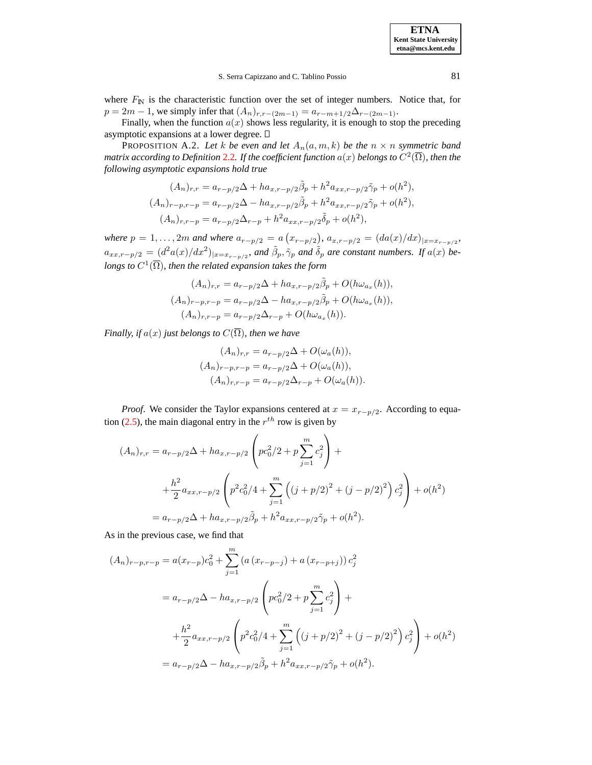**ETNA Kent State University etna@mcs.kent.edu**

where  $F_{\mathbb{N}}$  is the characteristic function over the set of integer numbers. Notice that, for  $p = 2m - 1$ , we simply infer that  $(A_n)_{r,r-(2m-1)} = a_{r-m+1/2}\Delta_{r-(2m-1)}$ .

Finally, when the function  $a(x)$  shows less regularity, it is enough to stop the preceding asymptotic expansions at a lower degree.

PROPOSITION A.2. Let *k* be even and let  $A_n(a, m, k)$  be the  $n \times n$  symmetric band *matrix according to Definition [2.2](#page-3-2). If the coefficient function*  $a(x)$  *belongs to*  $C^2(\overline{\Omega})$ *, then the following asymptotic expansions hold true*

<span id="page-26-0"></span>
$$
(A_n)_{r,r} = a_{r-p/2} \Delta + h a_{x,r-p/2} \tilde{\beta}_p + h^2 a_{xx,r-p/2} \tilde{\gamma}_p + o(h^2),
$$
  
\n
$$
(A_n)_{r-p,r-p} = a_{r-p/2} \Delta - h a_{x,r-p/2} \tilde{\beta}_p + h^2 a_{xx,r-p/2} \tilde{\gamma}_p + o(h^2),
$$
  
\n
$$
(A_n)_{r,r-p} = a_{r-p/2} \Delta_{r-p} + h^2 a_{xx,r-p/2} \tilde{\delta}_p + o(h^2),
$$

*where*  $p = 1, ..., 2m$  and where  $a_{r-p/2} = a(x_{r-p/2}), a_{x,r-p/2} = (da(x)/dx)_{|x=x_{r-p/2}}$  $a_{xx,r-p/2} = (d^2a(x)/dx^2)_{|x=x_{r-p/2}}$ , and  $\tilde{\beta}_p, \tilde{\gamma}_p$  and  $\tilde{\delta}_p$  are constant numbers. If  $a(x)$  be $l$ ongs to  $C^1(\overline{\Omega})$ , then the related expansion takes the form

$$
(A_n)_{r,r} = a_{r-p/2}\Delta + ha_{x,r-p/2}\tilde{\beta}_p + O(h\omega_{a_x}(h)),
$$
  
\n
$$
(A_n)_{r-p,r-p} = a_{r-p/2}\Delta - ha_{x,r-p/2}\tilde{\beta}_p + O(h\omega_{a_x}(h)),
$$
  
\n
$$
(A_n)_{r,r-p} = a_{r-p/2}\Delta_{r-p} + O(h\omega_{a_x}(h)).
$$

*Finally, if*  $a(x)$  *just belongs to*  $C(\overline{\Omega})$ *, then we have* 

$$
(A_n)_{r,r} = a_{r-p/2} \Delta + O(\omega_a(h)),
$$
  
\n
$$
(A_n)_{r-p,r-p} = a_{r-p/2} \Delta + O(\omega_a(h)),
$$
  
\n
$$
(A_n)_{r,r-p} = a_{r-p/2} \Delta_{r-p} + O(\omega_a(h)).
$$

*Proof.* We consider the Taylor expansions centered at  $x = x_{r-p/2}$ . According to equa-tion [\(2.5\)](#page-4-1), the main diagonal entry in the  $r^{th}$  row is given by

$$
(A_n)_{r,r} = a_{r-p/2} \Delta + ha_{x,r-p/2} \left( pc_0^2/2 + p \sum_{j=1}^m c_j^2 \right) +
$$
  
+ 
$$
\frac{h^2}{2} a_{xx,r-p/2} \left( p^2 c_0^2/4 + \sum_{j=1}^m \left( (j+p/2)^2 + (j-p/2)^2 \right) c_j^2 \right) + o(h^2)
$$
  
= 
$$
a_{r-p/2} \Delta + ha_{x,r-p/2} \tilde{\beta}_p + h^2 a_{xx,r-p/2} \tilde{\gamma}_p + o(h^2).
$$

As in the previous case, we find that

$$
(A_n)_{r-p,r-p} = a(x_{r-p})c_0^2 + \sum_{j=1}^m \left( a\left(x_{r-p-j}\right) + a\left(x_{r-p+j}\right) \right) c_j^2
$$
  

$$
= a_{r-p/2} \Delta - h a_{x,r-p/2} \left( pc_0^2 / 2 + p \sum_{j=1}^m c_j^2 \right) +
$$
  

$$
+ \frac{h^2}{2} a_{xx,r-p/2} \left( p^2 c_0^2 / 4 + \sum_{j=1}^m \left( \left(j + p/2\right)^2 + \left(j - p/2\right)^2 \right) c_j^2 \right) + o(h^2)
$$
  

$$
= a_{r-p/2} \Delta - h a_{x,r-p/2} \tilde{\beta}_p + h^2 a_{xx,r-p/2} \tilde{\gamma}_p + o(h^2).
$$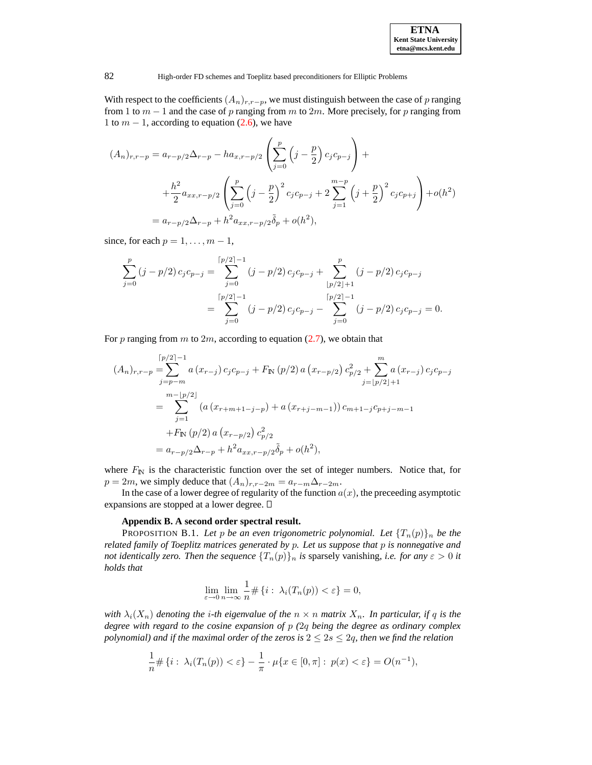With respect to the coefficients  $(A_n)_{r,r-p}$ , we must distinguish between the case of p ranging from 1 to  $m - 1$  and the case of p ranging from m to  $2m$ . More precisely, for p ranging from 1 to  $m - 1$ , according to equation [\(2.6\)](#page-4-1), we have

$$
(A_n)_{r,r-p} = a_{r-p/2} \Delta_{r-p} - ha_{x,r-p/2} \left( \sum_{j=0}^p \left( j - \frac{p}{2} \right) c_j c_{p-j} \right) +
$$
  
+ 
$$
\frac{h^2}{2} a_{xx,r-p/2} \left( \sum_{j=0}^p \left( j - \frac{p}{2} \right)^2 c_j c_{p-j} + 2 \sum_{j=1}^{m-p} \left( j + \frac{p}{2} \right)^2 c_j c_{p+j} \right) + o(h^2)
$$
  
= 
$$
a_{r-p/2} \Delta_{r-p} + h^2 a_{xx,r-p/2} \tilde{\delta}_p + o(h^2),
$$

since, for each  $p = 1, \ldots, m - 1$ ,

$$
\sum_{j=0}^{p} (j - p/2) c_j c_{p-j} = \sum_{j=0}^{\lceil p/2 \rceil - 1} (j - p/2) c_j c_{p-j} + \sum_{\lfloor p/2 \rfloor + 1}^{p} (j - p/2) c_j c_{p-j}
$$
  
= 
$$
\sum_{j=0}^{\lceil p/2 \rceil - 1} (j - p/2) c_j c_{p-j} - \sum_{j=0}^{\lceil p/2 \rceil - 1} (j - p/2) c_j c_{p-j} = 0.
$$

For p ranging from m to  $2m$ , according to equation [\(2.7\)](#page-4-1), we obtain that

$$
(A_n)_{r,r-p} = \sum_{j=p-m}^{\lceil p/2 \rceil - 1} a(x_{r-j}) c_j c_{p-j} + F_{\mathbb{N}}(p/2) a(x_{r-p/2}) c_{p/2}^2 + \sum_{j=\lfloor p/2 \rfloor + 1}^m a(x_{r-j}) c_j c_{p-j}
$$
  

$$
= \sum_{j=1}^{m-\lfloor p/2 \rfloor} (a(x_{r+m+1-j-p}) + a(x_{r+j-m-1})) c_{m+1-j} c_{p+j-m-1}
$$
  

$$
+ F_{\mathbb{N}}(p/2) a(x_{r-p/2}) c_{p/2}^2
$$
  

$$
= a_{r-p/2} \Delta_{r-p} + h^2 a_{xx, r-p/2} \tilde{\delta}_p + o(h^2),
$$

where  $F_{\mathbb{N}}$  is the characteristic function over the set of integer numbers. Notice that, for  $p = 2m$ , we simply deduce that  $(A_n)_{r,r-2m} = a_{r-m}\Delta_{r-2m}$ .

In the case of a lower degree of regularity of the function  $a(x)$ , the preceeding asymptotic expansions are stopped at a lower degree.

## **Appendix B. A second order spectral result.**

PROPOSITION B.1. Let p be an even trigonometric polynomial. Let  ${T_n(p)}_n$  be the *related family of Toeplitz matrices generated by* p*. Let us suppose that* p *is nonnegative and not identically zero. Then the sequence*  $\{T_n(p)\}_n$  *is* sparsely vanishing, *i.e. for any*  $\varepsilon > 0$  *it holds that*

<span id="page-27-0"></span>
$$
\lim_{\varepsilon \to 0} \lim_{n \to \infty} \frac{1}{n} \# \{ i : \lambda_i(T_n(p)) < \varepsilon \} = 0,
$$

*with*  $\lambda_i(X_n)$  *denoting the i-th eigenvalue of the*  $n \times n$  *matrix*  $X_n$ *. In particular, if* q *is the degree with regard to the cosine expansion of* p *(*2q *being the degree as ordinary complex polynomial) and if the maximal order of the zeros is*  $2 \le 2s \le 2q$ *, then we find the relation* 

$$
\frac{1}{n} \# \{ i : \lambda_i(T_n(p)) < \varepsilon \} - \frac{1}{\pi} \cdot \mu \{ x \in [0, \pi] : \ p(x) < \varepsilon \} = O(n^{-1}),
$$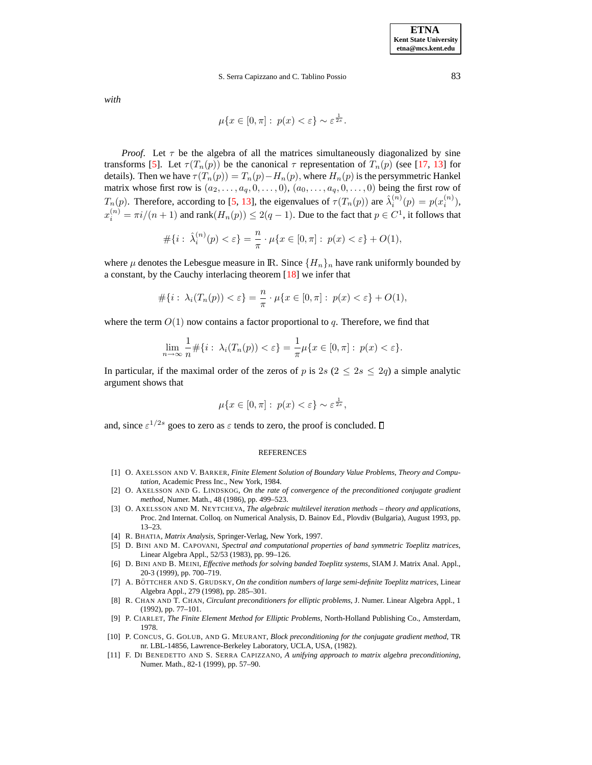*with*

$$
\mu\{x\in[0,\pi]:\ p(x)<\varepsilon\}\sim\varepsilon^{\frac{1}{2s}}.
$$

*Proof.* Let  $\tau$  be the algebra of all the matrices simultaneously diagonalized by sine transforms [\[5\]](#page-28-7). Let  $\tau(T_n(p))$  be the canonical  $\tau$  representation of  $T_n(p)$  (see [\[17,](#page-29-15) [13\]](#page-29-11) for details). Then we have  $\tau(T_n(p)) = T_n(p) - H_n(p)$ , where  $H_n(p)$  is the persymmetric Hankel matrix whose first row is  $(a_2, \ldots, a_q, 0, \ldots, 0)$ ,  $(a_0, \ldots, a_q, 0, \ldots, 0)$  being the first row of  $T_n(p)$ . Therefore, according to [\[5,](#page-28-7) [13\]](#page-29-11), the eigenvalues of  $\tau(T_n(p))$  are  $\hat{\lambda}_i^{(n)}(p) = p(x_i^{(n)}),$  $x_i^{(n)} = \pi i/(n+1)$  and  $\text{rank}(H_n(p)) \le 2(q-1)$ . Due to the fact that  $p \in C^1$ , it follows that

$$
\#\{i:\ \hat{\lambda}_i^{(n)}(p) < \varepsilon\} = \frac{n}{\pi} \cdot \mu\{x \in [0, \pi]: \ p(x) < \varepsilon\} + O(1),
$$

where  $\mu$  denotes the Lebesgue measure in IR. Since  $\{H_n\}_n$  have rank uniformly bounded by a constant, by the Cauchy interlacing theorem [\[18\]](#page-29-25) we infer that

$$
\#\{i:\ \lambda_i(T_n(p)) < \varepsilon\} = \frac{n}{\pi} \cdot \mu\{x \in [0, \pi]: \ p(x) < \varepsilon\} + O(1),
$$

where the term  $O(1)$  now contains a factor proportional to q. Therefore, we find that

$$
\lim_{n \to \infty} \frac{1}{n} \# \{ i : \lambda_i(T_n(p)) < \varepsilon \} = \frac{1}{\pi} \mu \{ x \in [0, \pi] : \ p(x) < \varepsilon \}.
$$

In particular, if the maximal order of the zeros of p is  $2s (2 \le 2s \le 2q)$  a simple analytic argument shows that

$$
\mu\{x\in[0,\pi]:\ p(x)<\varepsilon\}\sim\varepsilon^{\frac{1}{2s}},
$$

and, since  $\varepsilon^{1/2s}$  goes to zero as  $\varepsilon$  tends to zero, the proof is concluded.

#### **REFERENCES**

- <span id="page-28-2"></span>[1] O. AXELSSON AND V. BARKER, *Finite Element Solution of Boundary Value Problems*, *Theory and Computation*, Academic Press Inc., New York, 1984.
- <span id="page-28-10"></span><span id="page-28-0"></span>[2] O. AXELSSON AND G. LINDSKOG, *On the rate of convergence of the preconditioned conjugate gradient method*, Numer. Math., 48 (1986), pp. 499–523.
- [3] O. AXELSSON AND M. NEYTCHEVA, *The algebraic multilevel iteration methods – theory and applications*, Proc. 2nd Internat. Colloq. on Numerical Analysis, D. Bainov Ed., Plovdiv (Bulgaria), August 1993, pp. 13–23.
- <span id="page-28-7"></span><span id="page-28-4"></span>[4] R. BHATIA, *Matrix Analysis*, Springer-Verlag, New York, 1997.
- [5] D. BINI AND M. CAPOVANI, *Spectral and computational properties of band symmetric Toeplitz matrices*, Linear Algebra Appl., 52/53 (1983), pp. 99–126.
- <span id="page-28-1"></span>[6] D. BINI AND B. MEINI, *Effective methods for solving banded Toeplitz systems*, SIAM J. Matrix Anal. Appl., 20-3 (1999), pp. 700–719.
- <span id="page-28-6"></span>[7] A. BO¨ TTCHER AND S. GRUDSKY, *On the condition numbers of large semi-definite Toeplitz matrices*, Linear Algebra Appl., 279 (1998), pp. 285–301.
- <span id="page-28-3"></span>[8] R. CHAN AND T. CHAN, *Circulant preconditioners for elliptic problems*, J. Numer. Linear Algebra Appl., 1 (1992), pp. 77–101.
- <span id="page-28-5"></span>[9] P. CIARLET, *The Finite Element Method for Elliptic Problems*, North-Holland Publishing Co., Amsterdam, 1978.
- <span id="page-28-9"></span>[10] P. CONCUS, G. GOLUB, AND G. MEURANT, *Block preconditioning for the conjugate gradient method*, TR nr. LBL-14856, Lawrence-Berkeley Laboratory, UCLA, USA, (1982).
- <span id="page-28-8"></span>[11] F. DI BENEDETTO AND S. SERRA CAPIZZANO, *A unifying approach to matrix algebra preconditioning*, Numer. Math., 82-1 (1999), pp. 57–90.